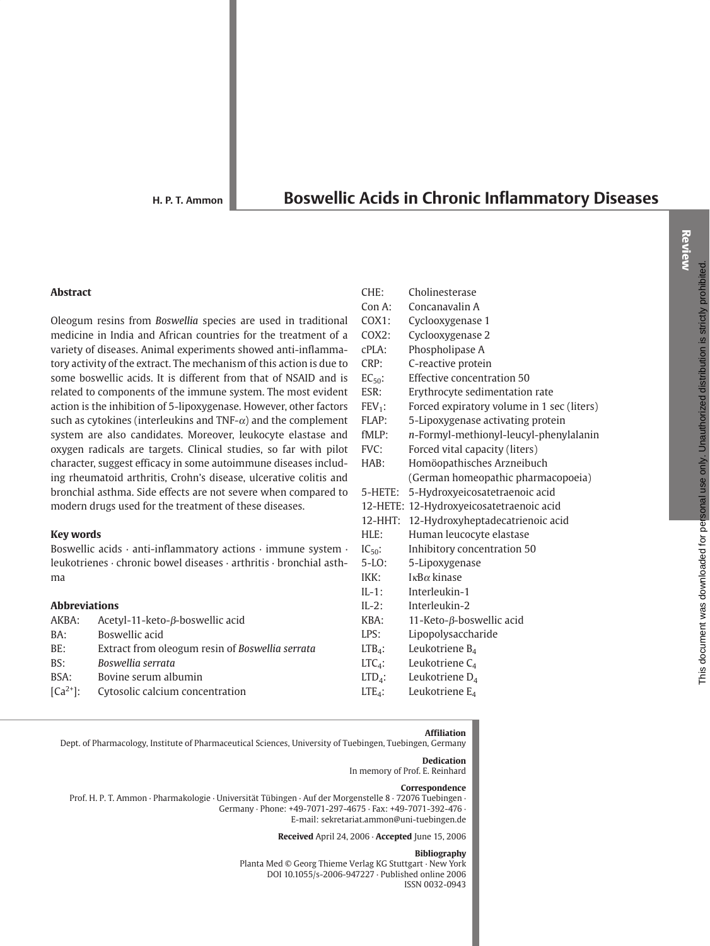H. P. T. Ammon

# **Boswellic Acids in Chronic Inflammatory Diseases**

#### **Abstract**

Oleogum resins from Boswellia species are used in traditional medicine in India and African countries for the treatment of a variety of diseases. Animal experiments showed anti-inflammatory activity of the extract. The mechanism of this action is due to some boswellic acids. It is different from that of NSAID and is related to components of the immune system. The most evident action is the inhibition of 5-lipoxygenase. However, other factors such as cytokines (interleukins and TNF- $\alpha$ ) and the complement system are also candidates. Moreover, leukocyte elastase and oxygen radicals are targets. Clinical studies, so far with pilot character, suggest efficacy in some autoimmune diseases including rheumatoid arthritis, Crohn's disease, ulcerative colitis and bronchial asthma. Side effects are not severe when compared to modern drugs used for the treatment of these diseases.

#### **Key words**

Boswellic acids · anti-inflammatory actions · immune system · leukotrienes · chronic bowel diseases · arthritis · bronchial asthma

# **Abbreviations**

| AKBA:      | Acetyl-11-keto- $\beta$ -boswellic acid         | KBA:      |
|------------|-------------------------------------------------|-----------|
| BA:        | Boswellic acid                                  | LPS:      |
| BE:        | Extract from oleogum resin of Boswellia serrata | $LTBA$ :  |
| BS:        | Boswellia serrata                               | $LTC4$ :  |
| BSA:       | Bovine serum albumin                            | $LTD_4$ : |
| $[Ca2+]$ : | Cytosolic calcium concentration                 | $LTE_4$ : |
|            |                                                 |           |

| CHE:        | Cholinesterase                             |
|-------------|--------------------------------------------|
| Con A:      | Concanavalin A                             |
| $COX1$ :    | Cyclooxygenase 1                           |
| COX2:       | Cyclooxygenase 2                           |
| $cPLA$ :    | Phospholipase A                            |
| CRP:        | C-reactive protein                         |
| $EC_{50}$ : | Effective concentration 50                 |
| ESR:        | Erythrocyte sedimentation rate             |
| $FEV_1$ :   | Forced expiratory volume in 1 sec (liters) |
| FLAP:       | 5-Lipoxygenase activating protein          |
| fMLP:       | n-Formyl-methionyl-leucyl-phenylalanin     |
| FVC:        | Forced vital capacity (liters)             |
| HAB:        | Homöopathisches Arzneibuch                 |
|             | (German homeopathic pharmacopoeia)         |
| $5$ -HETE:  | 5-Hydroxyeicosatetraenoic acid             |
|             | 12-HETE: 12-Hydroxyeicosatetraenoic acid   |
| $12-HHT$ :  | 12-Hydroxyheptadecatrienoic acid           |
| HLE:        | Human leucocyte elastase                   |
| $IC_{50}$ : | Inhibitory concentration 50                |
| $5-LO$ :    | 5-Lipoxygenase                             |
| IKK:        | $I \kappa B \alpha$ kinase                 |
| $IL-1$ :    | Interleukin-1                              |
| $IL-2$ :    | Interleukin-2                              |
| KBA:        | 11-Keto- $\beta$ -boswellic acid           |
| LPS:        | Lipopolysaccharide                         |
| $LTB4$ :    | Leukotriene B <sub>4</sub>                 |
| $LTC_4$ :   | Leukotriene C <sub>4</sub>                 |
| $LTD_4$ :   | Leukotriene D <sub>4</sub>                 |

#### **Affiliation**

Leukotriene E<sub>4</sub>

Dept. of Pharmacology, Institute of Pharmaceutical Sciences, University of Tuebingen, Tuebingen, Germany

#### **Dedication**

In memory of Prof. E. Reinhard

#### Correspondence

Prof. H. P. T. Ammon · Pharmakologie · Universität Tübingen · Auf der Morgenstelle 8 · 72076 Tuebingen · Germany · Phone: +49-7071-297-4675 · Fax: +49-7071-392-476 · E-mail: sekretariat.ammon@uni-tuebingen.de

Received April 24, 2006 · Accepted June 15, 2006

#### **Bibliography**

Planta Med © Georg Thieme Verlag KG Stuttgart · New York DOI 10.1055/s-2006-947227 · Published online 2006 ISSN 0032-0943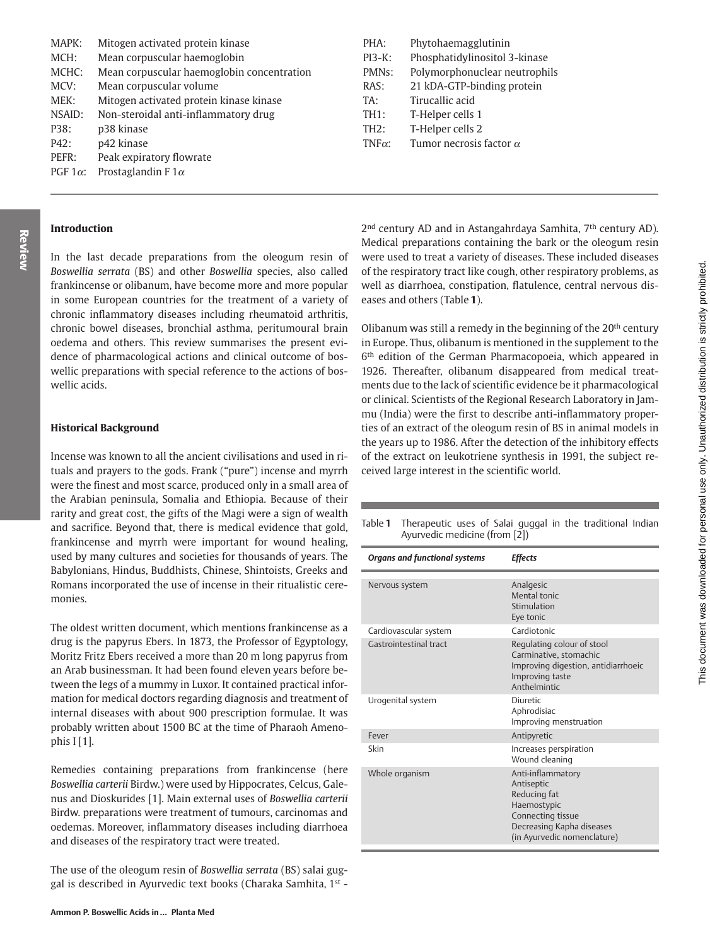| MAPK:           | Mitogen activated protein kinase           |
|-----------------|--------------------------------------------|
| MCH:            | Mean corpuscular haemoglobin               |
| MCHC:           | Mean corpuscular haemoglobin concentration |
| MCV:            | Mean corpuscular volume                    |
| MEK:            | Mitogen activated protein kinase kinase    |
| NSAID:          | Non-steroidal anti-inflammatory drug       |
| P38:            | p38 kinase                                 |
| P42:            | p42 kinase                                 |
| PEFR:           | Peak expiratory flowrate                   |
| PGF $1\alpha$ : | Prostaglandin F $1\alpha$                  |

# **Introduction**

Review

In the last decade preparations from the oleogum resin of Boswellia serrata (BS) and other Boswellia species, also called frankincense or olibanum, have become more and more popular in some European countries for the treatment of a variety of chronic inflammatory diseases including rheumatoid arthritis, chronic bowel diseases, bronchial asthma, peritumoural brain oedema and others. This review summarises the present evidence of pharmacological actions and clinical outcome of boswellic preparations with special reference to the actions of boswellic acids.

### **Historical Background**

Incense was known to all the ancient civilisations and used in rituals and prayers to the gods. Frank ("pure") incense and myrrh were the finest and most scarce, produced only in a small area of the Arabian peninsula, Somalia and Ethiopia. Because of their rarity and great cost, the gifts of the Magi were a sign of wealth and sacrifice. Beyond that, there is medical evidence that gold, frankincense and myrrh were important for wound healing, used by many cultures and societies for thousands of years. The Babylonians, Hindus, Buddhists, Chinese, Shintoists, Greeks and Romans incorporated the use of incense in their ritualistic ceremonies.

The oldest written document, which mentions frankincense as a drug is the papyrus Ebers. In 1873, the Professor of Egyptology, Moritz Fritz Ebers received a more than 20 m long papyrus from an Arab businessman. It had been found eleven years before between the legs of a mummy in Luxor. It contained practical information for medical doctors regarding diagnosis and treatment of internal diseases with about 900 prescription formulae. It was probably written about 1500 BC at the time of Pharaoh Amenophis  $[I]$ .

Remedies containing preparations from frankincense (here Boswellia carterii Birdw.) were used by Hippocrates, Celcus, Galenus and Dioskurides [1]. Main external uses of Boswellia carterii Birdw. preparations were treatment of tumours, carcinomas and oedemas. Moreover, inflammatory diseases including diarrhoea and diseases of the respiratory tract were treated.

The use of the oleogum resin of Boswellia serrata (BS) salai guggal is described in Ayurvedic text books (Charaka Samhita, 1st -

| PHA:           | Phytohaemagglutinin            |
|----------------|--------------------------------|
| $PI3-K:$       | Phosphatidylinositol 3-kinase  |
| PMNs:          | Polymorphonuclear neutrophils  |
| RAS:           | 21 kDA-GTP-binding protein     |
| TA:            | Tirucallic acid                |
| <b>TH1:</b>    | T-Helper cells 1               |
| <b>TH2:</b>    | T-Helper cells 2               |
| TNF $\alpha$ : | Tumor necrosis factor $\alpha$ |

2<sup>nd</sup> century AD and in Astangahrdaya Samhita, 7<sup>th</sup> century AD). Medical preparations containing the bark or the oleogum resin were used to treat a variety of diseases. These included diseases of the respiratory tract like cough, other respiratory problems, as well as diarrhoea, constipation, flatulence, central nervous diseases and others (Table 1).

Olibanum was still a remedy in the beginning of the 20<sup>th</sup> century in Europe. Thus, olibanum is mentioned in the supplement to the 6<sup>th</sup> edition of the German Pharmacopoeia, which appeared in 1926. Thereafter, olibanum disappeared from medical treatments due to the lack of scientific evidence be it pharmacological or clinical. Scientists of the Regional Research Laboratory in Jammu (India) were the first to describe anti-inflammatory properties of an extract of the oleogum resin of BS in animal models in the years up to 1986. After the detection of the inhibitory effects of the extract on leukotriene synthesis in 1991, the subject received large interest in the scientific world.

Table 1 Therapeutic uses of Salai guggal in the traditional Indian Ayurvedic medicine (from [2])

| <b>Organs and functional systems</b> | <b>Effects</b>                                                                                                                                  |
|--------------------------------------|-------------------------------------------------------------------------------------------------------------------------------------------------|
| Nervous system                       | Analgesic<br>Mental tonic<br>Stimulation<br>Eye tonic                                                                                           |
| Cardiovascular system                | Cardiotonic                                                                                                                                     |
| Gastrointestinal tract               | Regulating colour of stool<br>Carminative, stomachic<br>Improving digestion, antidiarrhoeic<br>Improving taste<br>Anthelmintic                  |
| Urogenital system                    | Diuretic<br>Aphrodisiac<br>Improving menstruation                                                                                               |
| Fever                                | Antipyretic                                                                                                                                     |
| Skin                                 | Increases perspiration<br>Wound cleaning                                                                                                        |
| Whole organism                       | Anti-inflammatory<br>Antiseptic<br>Reducing fat<br>Haemostypic<br>Connecting tissue<br>Decreasing Kapha diseases<br>(in Ayurvedic nomenclature) |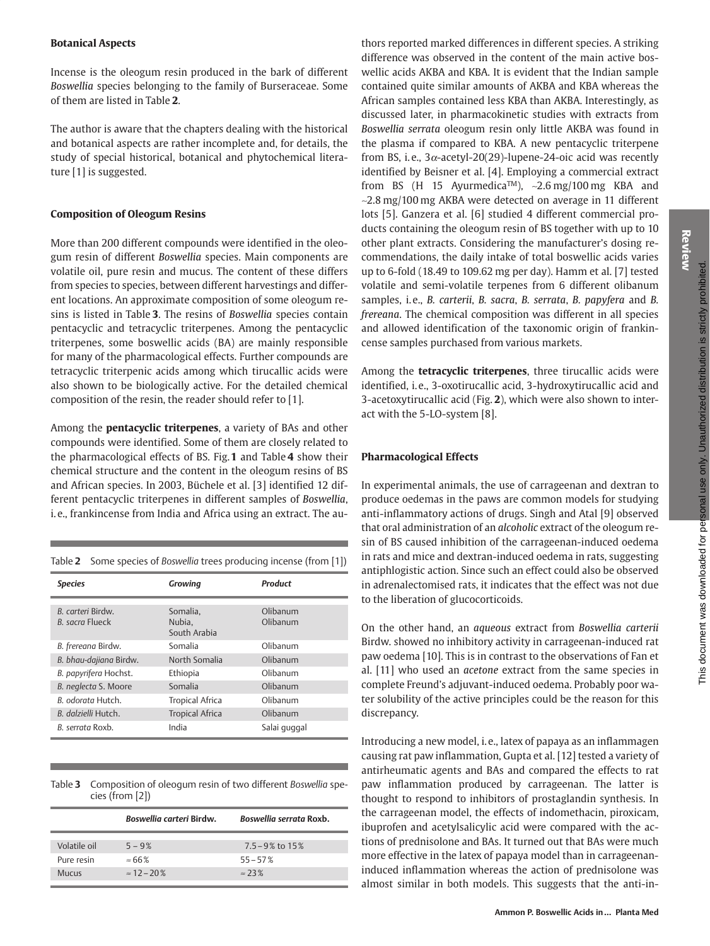# **Botanical Aspects**

Incense is the oleogum resin produced in the bark of different Boswellia species belonging to the family of Burseraceae. Some of them are listed in Table 2.

The author is aware that the chapters dealing with the historical and botanical aspects are rather incomplete and, for details, the study of special historical, botanical and phytochemical literature [1] is suggested.

# **Composition of Oleogum Resins**

More than 200 different compounds were identified in the oleogum resin of different Boswellia species. Main components are volatile oil, pure resin and mucus. The content of these differs from species to species, between different harvestings and different locations. An approximate composition of some oleogum resins is listed in Table 3. The resins of Boswellia species contain pentacyclic and tetracyclic triterpenes. Among the pentacyclic triterpenes, some boswellic acids (BA) are mainly responsible for many of the pharmacological effects. Further compounds are tetracyclic triterpenic acids among which tirucallic acids were also shown to be biologically active. For the detailed chemical composition of the resin, the reader should refer to [1].

Among the **pentacyclic triterpenes**, a variety of BAs and other compounds were identified. Some of them are closely related to the pharmacological effects of BS. Fig.1 and Table 4 show their chemical structure and the content in the oleogum resins of BS and African species. In 2003, Büchele et al. [3] identified 12 different pentacyclic triterpenes in different samples of Boswellia, i.e., frankincense from India and Africa using an extract. The au-

Table 2 Some species of Boswellia trees producing incense (from [1])

| <b>Species</b>                       | Growing                            | Product              |
|--------------------------------------|------------------------------------|----------------------|
| B. carteri Birdw.<br>B. sacra Flueck | Somalia.<br>Nubia,<br>South Arabia | Olibanum<br>Olibanum |
| B. frereana Birdw.                   | Somalia                            | Olibanum             |
| B. bhau-dajiana Birdw.               | North Somalia                      | Olibanum             |
| B. papyrifera Hochst.                | Ethiopia                           | Olibanum             |
| B. neglecta S. Moore                 | Somalia                            | Olibanum             |
| B. odorata Hutch.                    | Tropical Africa                    | Olibanum             |
| B. dalzielli Hutch.                  | <b>Tropical Africa</b>             | Olibanum             |
| B. serrata Roxb.                     | India                              | Salai guggal         |

| Table 3 Composition of oleogum resin of two different Boswellia spe- |
|----------------------------------------------------------------------|
| cies (from $[2]$ )                                                   |

|              | Boswellia carteri Birdw. | Boswellia serrata Roxb. |
|--------------|--------------------------|-------------------------|
| Volatile oil | $5 - 9%$                 | $7.5 - 9\%$ to 15%      |
| Pure resin   | $\approx$ 66 %           | $55 - 57%$              |
| Mucus        | $\approx$ 12 – 20%       | $\approx$ 23%           |

thors reported marked differences in different species. A striking difference was observed in the content of the main active boswellic acids AKBA and KBA. It is evident that the Indian sample contained quite similar amounts of AKBA and KBA whereas the African samples contained less KBA than AKBA. Interestingly, as discussed later, in pharmacokinetic studies with extracts from Boswellia serrata oleogum resin only little AKBA was found in the plasma if compared to KBA. A new pentacyclic triterpene from BS, i.e.,  $3\alpha$ -acetyl-20(29)-lupene-24-oic acid was recently identified by Beisner et al. [4]. Employing a commercial extract from BS (H 15 Ayurmedica<sup>TM</sup>), ~2.6 mg/100 mg KBA and ~2.8 mg/100 mg AKBA were detected on average in 11 different lots [5]. Ganzera et al. [6] studied 4 different commercial products containing the oleogum resin of BS together with up to 10 other plant extracts. Considering the manufacturer's dosing recommendations, the daily intake of total boswellic acids varies up to 6-fold (18.49 to 109.62 mg per day). Hamm et al. [7] tested volatile and semi-volatile terpenes from 6 different olibanum samples, i.e., B. carterii, B. sacra, B. serrata, B. papyfera and B. frereana. The chemical composition was different in all species and allowed identification of the taxonomic origin of frankincense samples purchased from various markets.

Among the **tetracyclic triterpenes**, three tirucallic acids were identified, i.e., 3-oxotirucallic acid, 3-hydroxytirucallic acid and 3-acetoxytirucallic acid (Fig. 2), which were also shown to interact with the 5-LO-system [8].

# **Pharmacological Effects**

In experimental animals, the use of carrageenan and dextran to produce oedemas in the paws are common models for studying anti-inflammatory actions of drugs. Singh and Atal [9] observed that oral administration of an alcoholic extract of the oleogum resin of BS caused inhibition of the carrageenan-induced oedema in rats and mice and dextran-induced oedema in rats, suggesting antiphlogistic action. Since such an effect could also be observed in adrenalectomised rats, it indicates that the effect was not due to the liberation of glucocorticoids.

On the other hand, an aqueous extract from Boswellia carterii Birdw. showed no inhibitory activity in carrageenan-induced rat paw oedema [10]. This is in contrast to the observations of Fan et al. [11] who used an acetone extract from the same species in complete Freund's adjuvant-induced oedema. Probably poor water solubility of the active principles could be the reason for this discrepancy.

Introducing a new model, i.e., latex of papaya as an inflammagen causing rat paw inflammation, Gupta et al. [12] tested a variety of antirheumatic agents and BAs and compared the effects to rat paw inflammation produced by carrageenan. The latter is thought to respond to inhibitors of prostaglandin synthesis. In the carrageenan model, the effects of indomethacin, piroxicam, ibuprofen and acetylsalicylic acid were compared with the actions of prednisolone and BAs. It turned out that BAs were much more effective in the latex of papaya model than in carrageenaninduced inflammation whereas the action of prednisolone was almost similar in both models. This suggests that the anti-in-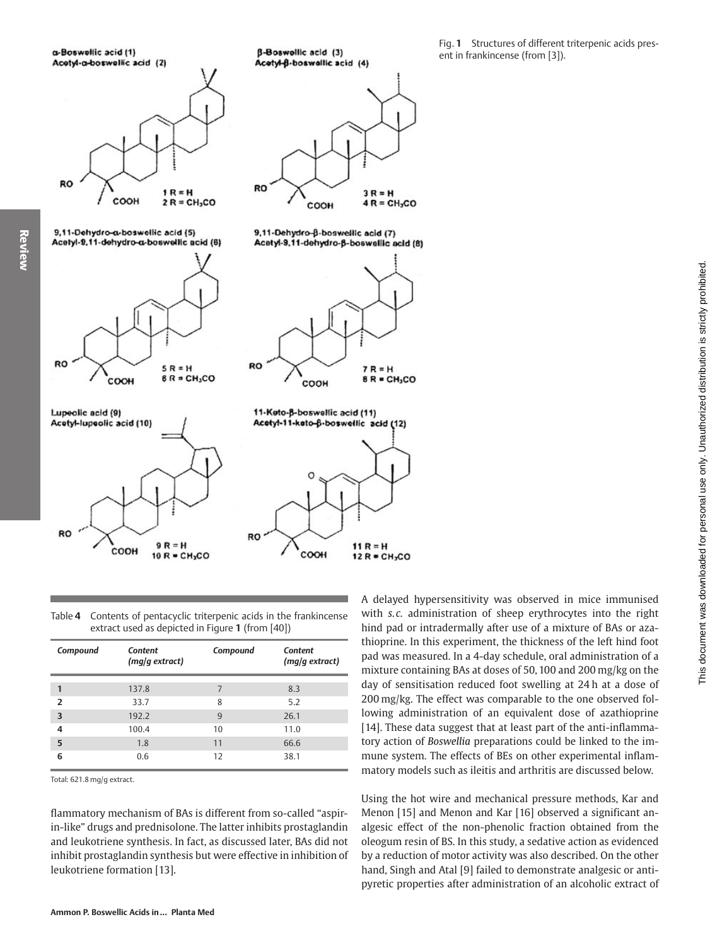

| Table 4 Contents of pentacyclic triterpenic acids in the frankincense |
|-----------------------------------------------------------------------|
| extract used as depicted in Figure 1 (from [40])                      |

| Compound       | <b>Content</b><br>(mq/q extract) | Compound | <b>Content</b><br>(mq/q extract) |
|----------------|----------------------------------|----------|----------------------------------|
| 1              | 137.8                            | 7        | 8.3                              |
| $\overline{2}$ | 33.7                             | 8        | 5.2                              |
| 3              | 192.2                            | 9        | 26.1                             |
| 4              | 100.4                            | 10       | 11.0                             |
| 5              | 1.8                              | 11       | 66.6                             |
| 6              | 0.6                              | 12       | 38.1                             |

Total: 621.8 mg/g extract.

flammatory mechanism of BAs is different from so-called "aspirin-like" drugs and prednisolone. The latter inhibits prostaglandin and leukotriene synthesis. In fact, as discussed later, BAs did not inhibit prostaglandin synthesis but were effective in inhibition of leukotriene formation [13].

A delayed hypersensitivity was observed in mice immunised with s.c. administration of sheep erythrocytes into the right hind pad or intradermally after use of a mixture of BAs or azathioprine. In this experiment, the thickness of the left hind foot pad was measured. In a 4-day schedule, oral administration of a mixture containing BAs at doses of 50, 100 and 200 mg/kg on the day of sensitisation reduced foot swelling at 24h at a dose of 200 mg/kg. The effect was comparable to the one observed following administration of an equivalent dose of azathioprine [14]. These data suggest that at least part of the anti-inflammatory action of Boswellia preparations could be linked to the immune system. The effects of BEs on other experimental inflammatory models such as ileitis and arthritis are discussed below.

This document was downloaded for personal use only. Unauthorized distribution is strictly prohibited.

Using the hot wire and mechanical pressure methods, Kar and Menon [15] and Menon and Kar [16] observed a significant analgesic effect of the non-phenolic fraction obtained from the oleogum resin of BS. In this study, a sedative action as evidenced by a reduction of motor activity was also described. On the other hand, Singh and Atal [9] failed to demonstrate analgesic or antipyretic properties after administration of an alcoholic extract of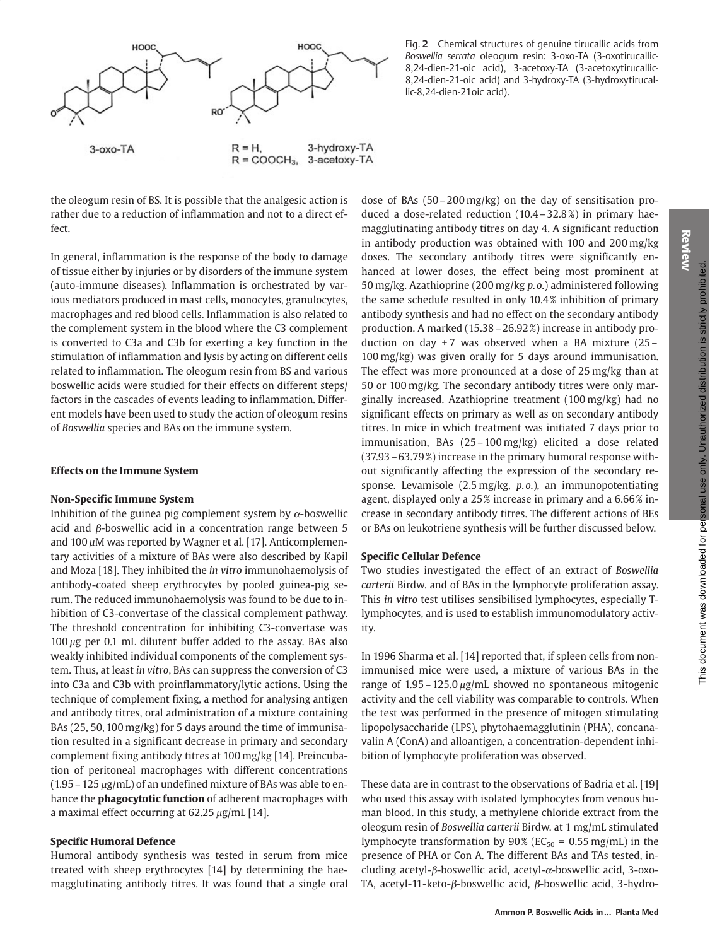Review



the oleogum resin of BS. It is possible that the analgesic action is rather due to a reduction of inflammation and not to a direct effect.

In general, inflammation is the response of the body to damage of tissue either by injuries or by disorders of the immune system (auto-immune diseases). Inflammation is orchestrated by various mediators produced in mast cells, monocytes, granulocytes, macrophages and red blood cells. Inflammation is also related to the complement system in the blood where the C3 complement is converted to C3a and C3b for exerting a key function in the stimulation of inflammation and lysis by acting on different cells related to inflammation. The oleogum resin from BS and various boswellic acids were studied for their effects on different steps/ factors in the cascades of events leading to inflammation. Different models have been used to study the action of oleogum resins of Boswellia species and BAs on the immune system.

#### **Effects on the Immune System**

#### **Non-Specific Immune System**

Inhibition of the guinea pig complement system by  $\alpha$ -boswellic acid and  $\beta$ -boswellic acid in a concentration range between 5 and 100  $\mu$ M was reported by Wagner et al. [17]. Anticomplementary activities of a mixture of BAs were also described by Kapil and Moza [18]. They inhibited the in vitro immunohaemolysis of antibody-coated sheep erythrocytes by pooled guinea-pig serum. The reduced immunohaemolysis was found to be due to inhibition of C3-convertase of the classical complement pathway. The threshold concentration for inhibiting C3-convertase was  $100 \mu g$  per 0.1 mL dilutent buffer added to the assay. BAs also weakly inhibited individual components of the complement system. Thus, at least in vitro, BAs can suppress the conversion of C3 into C3a and C3b with proinflammatory/lytic actions. Using the technique of complement fixing, a method for analysing antigen and antibody titres, oral administration of a mixture containing BAs (25, 50, 100 mg/kg) for 5 days around the time of immunisation resulted in a significant decrease in primary and secondary complement fixing antibody titres at 100 mg/kg [14]. Preincubation of peritoneal macrophages with different concentrations  $(1.95 - 125 \,\mu g/mL)$  of an undefined mixture of BAs was able to enhance the **phagocytotic function** of adherent macrophages with a maximal effect occurring at  $62.25 \mu g/mL$  [14].

#### **Specific Humoral Defence**

Humoral antibody synthesis was tested in serum from mice treated with sheep erythrocytes [14] by determining the haemagglutinating antibody titres. It was found that a single oral

Fig. 2 Chemical structures of genuine tirucallic acids from Boswellia serrata oleogum resin: 3-oxo-TA (3-oxotirucallic-8,24-dien-21-oic acid), 3-acetoxy-TA (3-acetoxytirucallic-8,24-dien-21-oic acid) and 3-hydroxy-TA (3-hydroxytirucallic-8,24-dien-21oic acid).

dose of BAs  $(50-200 \text{ mg/kg})$  on the day of sensitisation produced a dose-related reduction (10.4 - 32.8%) in primary haemagglutinating antibody titres on day 4. A significant reduction in antibody production was obtained with 100 and 200 mg/kg doses. The secondary antibody titres were significantly enhanced at lower doses, the effect being most prominent at 50 mg/kg. Azathioprine (200 mg/kg p.o.) administered following the same schedule resulted in only 10.4% inhibition of primary antibody synthesis and had no effect on the secondary antibody production. A marked (15.38 - 26.92%) increase in antibody production on day  $+7$  was observed when a BA mixture (25 -100 mg/kg) was given orally for 5 days around immunisation. The effect was more pronounced at a dose of 25 mg/kg than at 50 or 100 mg/kg. The secondary antibody titres were only marginally increased. Azathioprine treatment (100 mg/kg) had no significant effects on primary as well as on secondary antibody titres. In mice in which treatment was initiated 7 days prior to immunisation, BAs (25-100 mg/kg) elicited a dose related (37.93 – 63.79%) increase in the primary humoral response without significantly affecting the expression of the secondary response. Levamisole  $(2.5 \text{ mg/kg}, p.o.),$  an immunopotentiating agent, displayed only a 25% increase in primary and a 6.66% increase in secondary antibody titres. The different actions of BEs or BAs on leukotriene synthesis will be further discussed below.

#### **Specific Cellular Defence**

Two studies investigated the effect of an extract of Boswellia carterii Birdw. and of BAs in the lymphocyte proliferation assay. This in vitro test utilises sensibilised lymphocytes, especially Tlymphocytes, and is used to establish immunomodulatory activity.

In 1996 Sharma et al. [14] reported that, if spleen cells from nonimmunised mice were used, a mixture of various BAs in the range of  $1.95 - 125.0 \mu g/mL$  showed no spontaneous mitogenic activity and the cell viability was comparable to controls. When the test was performed in the presence of mitogen stimulating lipopolysaccharide (LPS), phytohaemagglutinin (PHA), concanavalin A (ConA) and alloantigen, a concentration-dependent inhibition of lymphocyte proliferation was observed.

These data are in contrast to the observations of Badria et al. [19] who used this assay with isolated lymphocytes from venous human blood. In this study, a methylene chloride extract from the oleogum resin of Boswellia carterii Birdw. at 1 mg/mL stimulated lymphocyte transformation by  $90\%$  (EC<sub>50</sub> = 0.55 mg/mL) in the presence of PHA or Con A. The different BAs and TAs tested, including acetyl- $\beta$ -boswellic acid, acetyl- $\alpha$ -boswellic acid, 3-oxo-TA, acetyl-11-keto- $\beta$ -boswellic acid,  $\beta$ -boswellic acid, 3-hydro-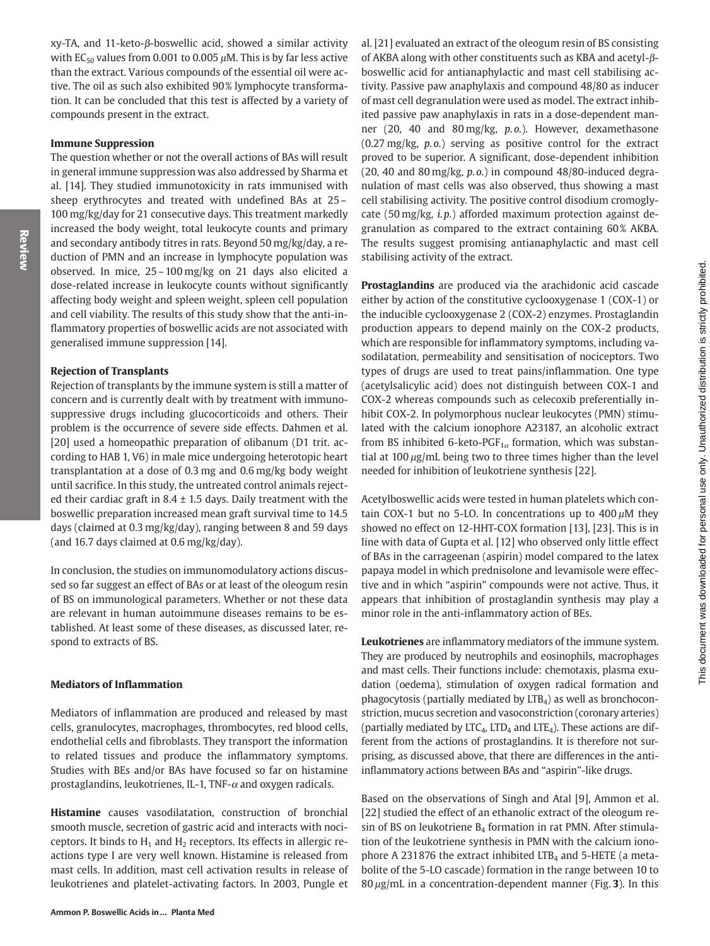This document was downloaded for personal use only. Unauthorized distribution is strictly prohibited.

xy-TA, and 11-keto- $\beta$ -boswellic acid, showed a similar activity with  $EC_{50}$  values from 0.001 to 0.005  $\mu$ M. This is by far less active than the extract. Various compounds of the essential oil were active. The oil as such also exhibited 90% lymphocyte transformation. It can be concluded that this test is affected by a variety of compounds present in the extract.

# **Immune Suppression**

The question whether or not the overall actions of BAs will result in general immune suppression was also addressed by Sharma et al. [14]. They studied immunotoxicity in rats immunised with sheep erythrocytes and treated with undefined BAs at 25-100 mg/kg/day for 21 consecutive days. This treatment markedly increased the body weight, total leukocyte counts and primary and secondary antibody titres in rats. Beyond 50 mg/kg/day, a reduction of PMN and an increase in lymphocyte population was observed. In mice, 25-100 mg/kg on 21 days also elicited a dose-related increase in leukocyte counts without significantly affecting body weight and spleen weight, spleen cell population and cell viability. The results of this study show that the anti-inflammatory properties of boswellic acids are not associated with generalised immune suppression [14].

# **Rejection of Transplants**

Rejection of transplants by the immune system is still a matter of concern and is currently dealt with by treatment with immunosuppressive drugs including glucocorticoids and others. Their problem is the occurrence of severe side effects. Dahmen et al. [20] used a homeopathic preparation of olibanum (D1 trit. according to HAB 1, V6) in male mice undergoing heterotopic heart transplantation at a dose of 0.3 mg and 0.6 mg/kg body weight until sacrifice. In this study, the untreated control animals rejected their cardiac graft in  $8.4 \pm 1.5$  days. Daily treatment with the boswellic preparation increased mean graft survival time to 14.5 days (claimed at 0.3 mg/kg/day), ranging between 8 and 59 days (and 16.7 days claimed at 0.6 mg/kg/day).

In conclusion, the studies on immunomodulatory actions discussed so far suggest an effect of BAs or at least of the oleogum resin of BS on immunological parameters. Whether or not these data are relevant in human autoimmune diseases remains to be established. At least some of these diseases, as discussed later, respond to extracts of BS.

# **Mediators of Inflammation**

Mediators of inflammation are produced and released by mast cells, granulocytes, macrophages, thrombocytes, red blood cells, endothelial cells and fibroblasts. They transport the information to related tissues and produce the inflammatory symptoms. Studies with BEs and/or BAs have focused so far on histamine prostaglandins, leukotrienes, IL-1, TNF- $\alpha$  and oxygen radicals.

Histamine causes vasodilatation, construction of bronchial smooth muscle, secretion of gastric acid and interacts with nociceptors. It binds to  $H_1$  and  $H_2$  receptors. Its effects in allergic reactions type I are very well known. Histamine is released from mast cells. In addition, mast cell activation results in release of leukotrienes and platelet-activating factors. In 2003, Pungle et

al. [21] evaluated an extract of the oleogum resin of BS consisting of AKBA along with other constituents such as KBA and acetyl- $\beta$ boswellic acid for antianaphylactic and mast cell stabilising activity. Passive paw anaphylaxis and compound 48/80 as inducer of mast cell degranulation were used as model. The extract inhibited passive paw anaphylaxis in rats in a dose-dependent manner (20, 40 and 80 mg/kg, p.o.). However, dexamethasone  $(0.27 \text{ mg/kg}, p.o.)$  serving as positive control for the extract proved to be superior. A significant, dose-dependent inhibition  $(20, 40, 80, 80, 80)$  mg/kg, p.o.) in compound 48/80-induced degranulation of mast cells was also observed, thus showing a mast cell stabilising activity. The positive control disodium cromoglycate (50 mg/kg, i.p.) afforded maximum protection against degranulation as compared to the extract containing 60% AKBA. The results suggest promising antianaphylactic and mast cell stabilising activity of the extract.

Prostaglandins are produced via the arachidonic acid cascade either by action of the constitutive cyclooxygenase 1 (COX-1) or the inducible cyclooxygenase 2 (COX-2) enzymes. Prostaglandin production appears to depend mainly on the COX-2 products, which are responsible for inflammatory symptoms, including vasodilatation, permeability and sensitisation of nociceptors. Two types of drugs are used to treat pains/inflammation. One type (acetylsalicylic acid) does not distinguish between COX-1 and COX-2 whereas compounds such as celecoxib preferentially inhibit COX-2. In polymorphous nuclear leukocytes (PMN) stimulated with the calcium ionophore A23187, an alcoholic extract from BS inhibited 6-keto-PGF<sub>1 $\alpha$ </sub> formation, which was substantial at  $100 \mu g/mL$  being two to three times higher than the level needed for inhibition of leukotriene synthesis [22].

Acetylboswellic acids were tested in human platelets which contain COX-1 but no 5-LO. In concentrations up to  $400 \mu M$  they showed no effect on 12-HHT-COX formation [13], [23]. This is in line with data of Gupta et al. [12] who observed only little effect of BAs in the carrageenan (aspirin) model compared to the latex papaya model in which prednisolone and levamisole were effective and in which "aspirin" compounds were not active. Thus, it appears that inhibition of prostaglandin synthesis may play a minor role in the anti-inflammatory action of BEs.

Leukotrienes are inflammatory mediators of the immune system. They are produced by neutrophils and eosinophils, macrophages and mast cells. Their functions include: chemotaxis, plasma exudation (oedema), stimulation of oxygen radical formation and phagocytosis (partially mediated by  $LTB<sub>4</sub>$ ) as well as bronchoconstriction, mucus secretion and vasoconstriction (coronary arteries) (partially mediated by  $\text{LTC}_4$ ,  $\text{LTD}_4$  and  $\text{LTE}_4$ ). These actions are different from the actions of prostaglandins. It is therefore not surprising, as discussed above, that there are differences in the antiinflammatory actions between BAs and "aspirin"-like drugs.

Based on the observations of Singh and Atal [9], Ammon et al. [22] studied the effect of an ethanolic extract of the oleogum resin of BS on leukotriene  $B_4$  formation in rat PMN. After stimulation of the leukotriene synthesis in PMN with the calcium ionophore A 231876 the extract inhibited  $LTB<sub>4</sub>$  and 5-HETE (a metabolite of the 5-LO cascade) formation in the range between 10 to  $80 \mu g$ /mL in a concentration-dependent manner (Fig. 3). In this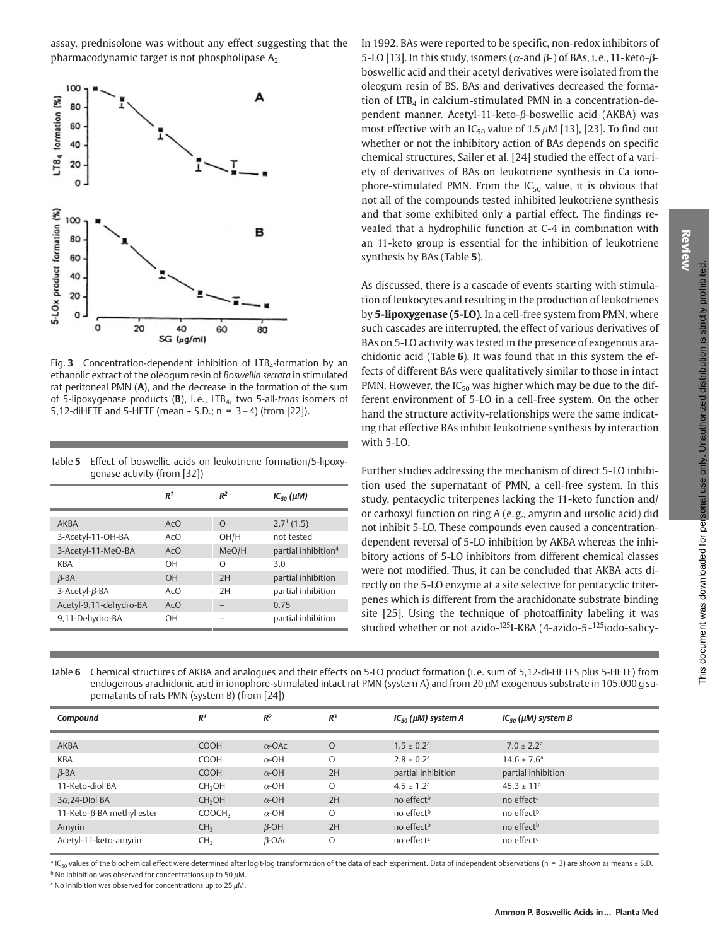assay, prednisolone was without any effect suggesting that the pharmacodynamic target is not phospholipase  $A_2$ 



Fig. 3 Concentration-dependent inhibition of  $LTB<sub>4</sub>$ -formation by an ethanolic extract of the oleogum resin of Boswellia serrata in stimulated rat peritoneal PMN (A), and the decrease in the formation of the sum of 5-lipoxygenase products ( $\mathbf{B}$ ), i.e., LTB<sub>4</sub>, two 5-all-trans isomers of 5,12-diHETE and 5-HETE (mean  $\pm$  S.D.; n = 3-4) (from [22]).

Table 5 Effect of boswellic acids on leukotriene formation/5-lipoxyqenase activity (from [32])

|                          | R <sup>1</sup> | R <sup>2</sup> | $IC_{50}(\mu M)$                |
|--------------------------|----------------|----------------|---------------------------------|
|                          |                |                |                                 |
| AKBA                     | ACO            | $\Omega$       | $2.71$ (1.5)                    |
| 3-Acetyl-11-OH-BA        | Ac()           | OH/H           | not tested                      |
| 3-Acetyl-11-MeO-BA       | AcO            | MeO/H          | partial inhibition <sup>4</sup> |
| KBA                      | OН             | $\Omega$       | 3.0                             |
| $\beta$ -BA              | $\Omega$ H     | 2H             | partial inhibition              |
| $3$ -Acetyl- $\beta$ -BA | Ac()           | 2H             | partial inhibition              |
| Acetyl-9,11-dehydro-BA   | AcO            | -              | 0.75                            |
| 9,11-Dehydro-BA          | OΗ             |                | partial inhibition              |

In 1992, BAs were reported to be specific, non-redox inhibitors of 5-LO [13]. In this study, isomers ( $\alpha$ -and  $\beta$ -) of BAs, i.e., 11-keto- $\beta$ boswellic acid and their acetyl derivatives were isolated from the oleogum resin of BS. BAs and derivatives decreased the formation of LTB<sub>4</sub> in calcium-stimulated PMN in a concentration-dependent manner. Acetyl-11-keto-β-boswellic acid (AKBA) was most effective with an  $IC_{50}$  value of 1.5  $\mu$ M [13], [23]. To find out whether or not the inhibitory action of BAs depends on specific chemical structures. Sailer et al. [24] studied the effect of a variety of derivatives of BAs on leukotriene synthesis in Ca ionophore-stimulated PMN. From the IC<sub>50</sub> value, it is obvious that not all of the compounds tested inhibited leukotriene synthesis and that some exhibited only a partial effect. The findings revealed that a hydrophilic function at C-4 in combination with an 11-keto group is essential for the inhibition of leukotriene synthesis by BAs (Table 5).

As discussed, there is a cascade of events starting with stimulation of leukocytes and resulting in the production of leukotrienes by 5-lipoxygenase (5-LO). In a cell-free system from PMN, where such cascades are interrupted, the effect of various derivatives of BAs on 5-LO activity was tested in the presence of exogenous arachidonic acid (Table 6). It was found that in this system the effects of different BAs were qualitatively similar to those in intact PMN. However, the  $IC_{50}$  was higher which may be due to the different environment of 5-LO in a cell-free system. On the other hand the structure activity-relationships were the same indicating that effective BAs inhibit leukotriene synthesis by interaction with 5-LO.

Further studies addressing the mechanism of direct 5-LO inhibition used the supernatant of PMN, a cell-free system. In this study, pentacyclic triterpenes lacking the 11-keto function and/ or carboxyl function on ring A (e.g., amyrin and ursolic acid) did not inhibit 5-LO. These compounds even caused a concentrationdependent reversal of 5-LO inhibition by AKBA whereas the inhibitory actions of 5-LO inhibitors from different chemical classes were not modified. Thus, it can be concluded that AKBA acts directly on the 5-LO enzyme at a site selective for pentacyclic triterpenes which is different from the arachidonate substrate binding site [25]. Using the technique of photoaffinity labeling it was studied whether or not azido-125I-KBA (4-azido-5-125iodo-salicy-

Table 6 Chemical structures of AKBA and analogues and their effects on 5-LO product formation (i.e. sum of 5,12-di-HETES plus 5-HETE) from endogenous arachidonic acid in ionophore-stimulated intact rat PMN (system A) and from 20 µM exogenous substrate in 105.000 g supernatants of rats PMN (system B) (from [24])

| Compound                  | R <sup>1</sup>     | $R^2$         | $R^3$   | $IC_{50}$ ( $\mu$ M) system A | $IC_{50}$ ( $\mu$ M) system B |
|---------------------------|--------------------|---------------|---------|-------------------------------|-------------------------------|
| <b>AKBA</b>               | <b>COOH</b>        | $\alpha$ -OAc | $\circ$ | $1.5 \pm 0.2$ <sup>a</sup>    | $7.0 + 2.2$ <sup>a</sup>      |
| <b>KBA</b>                | <b>COOH</b>        | $\alpha$ -OH  | $\circ$ | $2.8 \pm 0.2$ <sup>a</sup>    | $14.6 \pm 7.6^{\circ}$        |
| $\beta$ -BA               | <b>COOH</b>        | $\alpha$ -OH  | 2H      | partial inhibition            | partial inhibition            |
| 11-Keto-diol BA           | CH <sub>2</sub> OH | $\alpha$ -OH  | O       | $4.5 \pm 1.2$ <sup>a</sup>    | $45.3 \pm 11^{a}$             |
| $3\alpha$ , 24-Diol BA    | CH <sub>2</sub> OH | $\alpha$ -OH  | 2H      | no effect <sup>b</sup>        | no effect <sup>a</sup>        |
| 11-Keto-β-BA methyl ester | COOCH <sub>3</sub> | $\alpha$ -OH  | O       | no effect <sup>b</sup>        | no effect <sup>b</sup>        |
| Amyrin                    | CH <sub>3</sub>    | $\beta$ -OH   | 2H      | no effect <sup>b</sup>        | no effect <sup>b</sup>        |
| Acetyl-11-keto-amyrin     | CH <sub>3</sub>    | $\beta$ -OAc  | O       | no effect <sup>c</sup>        | no effect <sup>c</sup>        |

<sup>a</sup> IC<sub>50</sub> values of the biochemical effect were determined after logit-log transformation of the data of each experiment. Data of independent observations (n = 3) are shown as means ± S.D.

 $b$  No inhibition was observed for concentrations up to 50  $\mu$ M.

 $\epsilon$  No inhibition was observed for concentrations up to 25  $\mu$ M.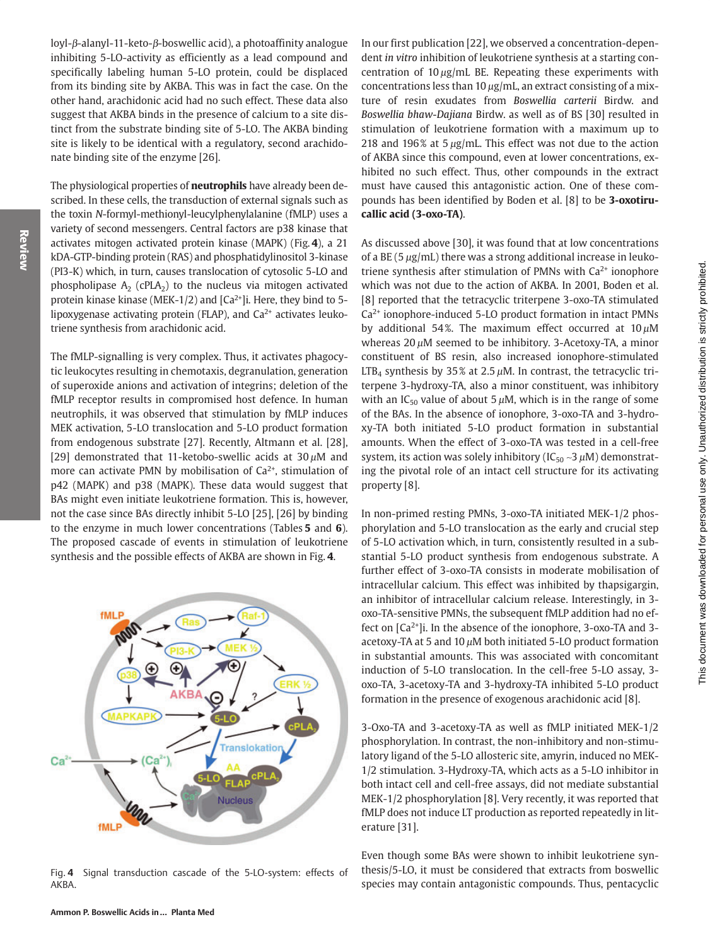This document was downloaded for personal use only. Unauthorized distribution is strictly prohibited.

 $\text{lov1-}\beta\text{-} \text{alany1-11-keto-}\beta\text{-} \text{boswellite acid}$ ), a photoaffinity analogue inhibiting 5-LO-activity as efficiently as a lead compound and specifically labeling human 5-LO protein, could be displaced from its binding site by AKBA. This was in fact the case. On the other hand, arachidonic acid had no such effect. These data also suggest that AKBA binds in the presence of calcium to a site distinct from the substrate binding site of 5-LO. The AKBA binding site is likely to be identical with a regulatory, second arachidonate binding site of the enzyme [26].

The physiological properties of **neutrophils** have already been described. In these cells, the transduction of external signals such as the toxin N-formyl-methionyl-leucylphenylalanine (fMLP) uses a variety of second messengers. Central factors are p38 kinase that activates mitogen activated protein kinase (MAPK) (Fig. 4), a 21 kDA-GTP-binding protein (RAS) and phosphatidylinositol 3-kinase (PI3-K) which, in turn, causes translocation of cytosolic 5-LO and phospholipase  $A_2$  (cPLA<sub>2</sub>) to the nucleus via mitogen activated protein kinase kinase (MEK-1/2) and [Ca<sup>2+</sup>]i. Here, they bind to 5lipoxygenase activating protein (FLAP), and Ca<sup>2+</sup> activates leukotriene synthesis from arachidonic acid.

The fMLP-signalling is very complex. Thus, it activates phagocytic leukocytes resulting in chemotaxis, degranulation, generation of superoxide anions and activation of integrins; deletion of the fMLP receptor results in compromised host defence. In human neutrophils, it was observed that stimulation by fMLP induces MEK activation, 5-LO translocation and 5-LO product formation from endogenous substrate [27]. Recently, Altmann et al. [28], [29] demonstrated that 11-ketobo-swellic acids at  $30 \mu$ M and more can activate PMN by mobilisation of Ca<sup>2+</sup>, stimulation of p42 (MAPK) and p38 (MAPK). These data would suggest that BAs might even initiate leukotriene formation. This is, however, not the case since BAs directly inhibit 5-LO [25], [26] by binding to the enzyme in much lower concentrations (Tables  $5$  and  $6$ ). The proposed cascade of events in stimulation of leukotriene synthesis and the possible effects of AKBA are shown in Fig. 4.



Signal transduction cascade of the 5-LO-system: effects of Fig. 4 AKBA.

In our first publication [22], we observed a concentration-dependent in vitro inhibition of leukotriene synthesis at a starting concentration of  $10 \mu g/mL$  BE. Repeating these experiments with concentrations less than  $10 \mu g/mL$ , an extract consisting of a mixture of resin exudates from Boswellia carterii Birdw. and Boswellia bhaw-Dajiana Birdw. as well as of BS [30] resulted in stimulation of leukotriene formation with a maximum up to 218 and 196% at  $5 \mu g/mL$ . This effect was not due to the action of AKBA since this compound, even at lower concentrations, exhibited no such effect. Thus, other compounds in the extract must have caused this antagonistic action. One of these compounds has been identified by Boden et al. [8] to be 3-oxotirucallic acid (3-oxo-TA).

As discussed above [30], it was found that at low concentrations of a BE (5  $\mu$ g/mL) there was a strong additional increase in leukotriene synthesis after stimulation of PMNs with  $Ca<sup>2+</sup>$  ionophore which was not due to the action of AKBA. In 2001, Boden et al. [8] reported that the tetracyclic triterpene 3-oxo-TA stimulated Ca<sup>2+</sup> ionophore-induced 5-LO product formation in intact PMNs by additional 54%. The maximum effect occurred at  $10 \mu M$ whereas  $20 \mu$ M seemed to be inhibitory. 3-Acetoxy-TA, a minor constituent of BS resin, also increased ionophore-stimulated LTB<sub>4</sub> synthesis by 35% at 2.5  $\mu$ M. In contrast, the tetracyclic triterpene 3-hydroxy-TA, also a minor constituent, was inhibitory with an  $IC_{50}$  value of about 5  $\mu$ M, which is in the range of some of the BAs. In the absence of ionophore, 3-oxo-TA and 3-hydroxy-TA both initiated 5-LO product formation in substantial amounts. When the effect of 3-oxo-TA was tested in a cell-free system, its action was solely inhibitory (IC<sub>50</sub>  $\sim$ 3  $\mu$ M) demonstrating the pivotal role of an intact cell structure for its activating property [8].

In non-primed resting PMNs, 3-oxo-TA initiated MEK-1/2 phosphorylation and 5-LO translocation as the early and crucial step of 5-LO activation which, in turn, consistently resulted in a substantial 5-LO product synthesis from endogenous substrate. A further effect of 3-oxo-TA consists in moderate mobilisation of intracellular calcium. This effect was inhibited by thapsigargin, an inhibitor of intracellular calcium release. Interestingly, in 3oxo-TA-sensitive PMNs, the subsequent fMLP addition had no effect on  $[Ca^{2+}]$ i. In the absence of the ionophore, 3-oxo-TA and 3acetoxy-TA at 5 and 10  $\mu$ M both initiated 5-LO product formation in substantial amounts. This was associated with concomitant induction of 5-LO translocation. In the cell-free 5-LO assay, 3oxo-TA, 3-acetoxy-TA and 3-hydroxy-TA inhibited 5-LO product formation in the presence of exogenous arachidonic acid [8].

3-Oxo-TA and 3-acetoxy-TA as well as fMLP initiated MEK-1/2 phosphorylation. In contrast, the non-inhibitory and non-stimulatory ligand of the 5-LO allosteric site, amyrin, induced no MEK-1/2 stimulation. 3-Hydroxy-TA, which acts as a 5-LO inhibitor in both intact cell and cell-free assays, did not mediate substantial MEK-1/2 phosphorylation [8]. Very recently, it was reported that fMLP does not induce LT production as reported repeatedly in literature [31].

Even though some BAs were shown to inhibit leukotriene synthesis/5-LO, it must be considered that extracts from boswellic species may contain antagonistic compounds. Thus, pentacyclic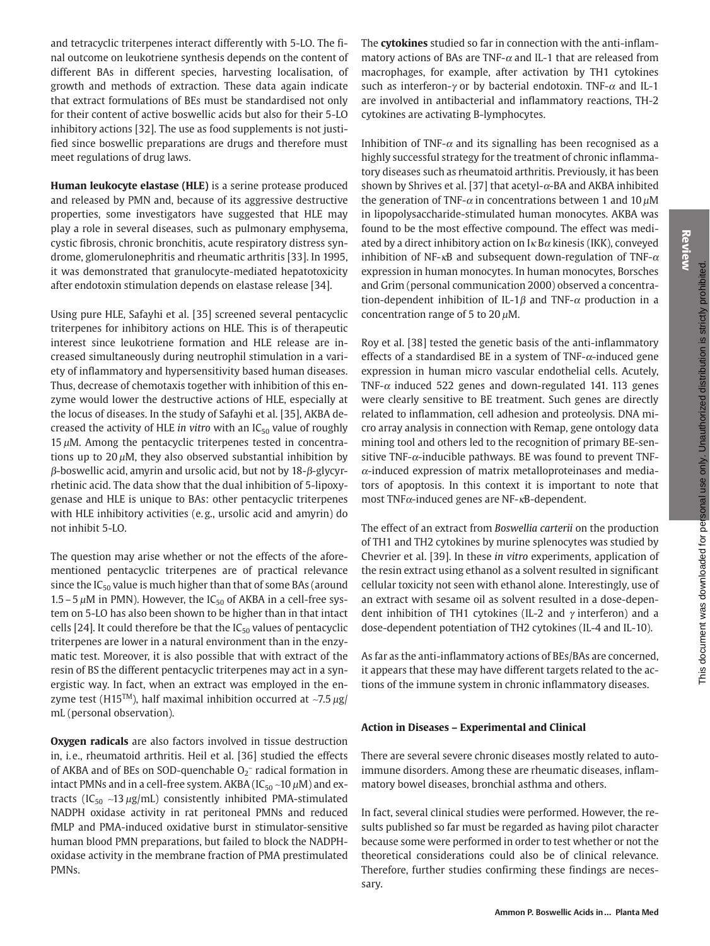Review

and tetracyclic triterpenes interact differently with 5-LO. The final outcome on leukotriene synthesis depends on the content of different BAs in different species, harvesting localisation, of growth and methods of extraction. These data again indicate that extract formulations of BEs must be standardised not only for their content of active boswellic acids but also for their 5-LO inhibitory actions [32]. The use as food supplements is not justified since boswellic preparations are drugs and therefore must meet regulations of drug laws.

Human leukocyte elastase (HLE) is a serine protease produced and released by PMN and, because of its aggressive destructive properties, some investigators have suggested that HLE may play a role in several diseases, such as pulmonary emphysema, cystic fibrosis, chronic bronchitis, acute respiratory distress syndrome, glomerulonephritis and rheumatic arthritis [33]. In 1995, it was demonstrated that granulocyte-mediated hepatotoxicity after endotoxin stimulation depends on elastase release [34].

Using pure HLE, Safayhi et al. [35] screened several pentacyclic triterpenes for inhibitory actions on HLE. This is of therapeutic interest since leukotriene formation and HLE release are increased simultaneously during neutrophil stimulation in a variety of inflammatory and hypersensitivity based human diseases. Thus, decrease of chemotaxis together with inhibition of this enzyme would lower the destructive actions of HLE, especially at the locus of diseases. In the study of Safayhi et al. [35], AKBA decreased the activity of HLE in vitro with an  $IC_{50}$  value of roughly 15  $\mu$ M. Among the pentacyclic triterpenes tested in concentrations up to  $20 \mu$ M, they also observed substantial inhibition by  $\beta$ -boswellic acid, amyrin and ursolic acid, but not by 18- $\beta$ -glycyrrhetinic acid. The data show that the dual inhibition of 5-lipoxygenase and HLE is unique to BAs: other pentacyclic triterpenes with HLE inhibitory activities (e.g., ursolic acid and amyrin) do not inhibit 5-LO.

The question may arise whether or not the effects of the aforementioned pentacyclic triterpenes are of practical relevance since the  $IC_{50}$  value is much higher than that of some BAs (around 1.5 – 5  $\mu$ M in PMN). However, the IC<sub>50</sub> of AKBA in a cell-free system on 5-LO has also been shown to be higher than in that intact cells [24]. It could therefore be that the  $IC_{50}$  values of pentacyclic triterpenes are lower in a natural environment than in the enzymatic test. Moreover, it is also possible that with extract of the resin of BS the different pentacyclic triterpenes may act in a synergistic way. In fact, when an extract was employed in the enzyme test (H15<sup>TM</sup>), half maximal inhibition occurred at  $\sim$ 7.5  $\mu$ g/ mL (personal observation).

Oxygen radicals are also factors involved in tissue destruction in, i.e., rheumatoid arthritis. Heil et al. [36] studied the effects of AKBA and of BEs on SOD-quenchable  $O_2^-$  radical formation in intact PMNs and in a cell-free system. AKBA (IC $_{50}$  ~10  $\mu$ M) and extracts (IC<sub>50</sub> ~13  $\mu$ g/mL) consistently inhibited PMA-stimulated NADPH oxidase activity in rat peritoneal PMNs and reduced fMLP and PMA-induced oxidative burst in stimulator-sensitive human blood PMN preparations, but failed to block the NADPHoxidase activity in the membrane fraction of PMA prestimulated PMNs.

The cytokines studied so far in connection with the anti-inflammatory actions of BAs are TNF- $\alpha$  and IL-1 that are released from macrophages, for example, after activation by TH1 cytokines such as interferon- $\gamma$  or by bacterial endotoxin. TNF- $\alpha$  and IL-1 are involved in antibacterial and inflammatory reactions, TH-2 cytokines are activating B-lymphocytes.

Inhibition of TNF- $\alpha$  and its signalling has been recognised as a highly successful strategy for the treatment of chronic inflammatory diseases such as rheumatoid arthritis. Previously, it has been shown by Shrives et al. [37] that acetyl- $\alpha$ -BA and AKBA inhibited the generation of TNF- $\alpha$  in concentrations between 1 and 10  $\mu$ M in lipopolysaccharide-stimulated human monocytes. AKBA was found to be the most effective compound. The effect was mediated by a direct inhibitory action on  $I \kappa B \alpha$  kinesis (IKK), conveyed inhibition of NF- $\kappa$ B and subsequent down-regulation of TNF- $\alpha$ expression in human monocytes. In human monocytes, Borsches and Grim (personal communication 2000) observed a concentration-dependent inhibition of IL-1 $\beta$  and TNF- $\alpha$  production in a concentration range of 5 to 20  $\mu$ M.

Roy et al. [38] tested the genetic basis of the anti-inflammatory effects of a standardised BE in a system of TNF- $\alpha$ -induced gene expression in human micro vascular endothelial cells. Acutely, TNF- $\alpha$  induced 522 genes and down-regulated 141. 113 genes were clearly sensitive to BE treatment. Such genes are directly related to inflammation, cell adhesion and proteolysis. DNA micro array analysis in connection with Remap, gene ontology data mining tool and others led to the recognition of primary BE-sensitive TNF- $\alpha$ -inducible pathways. BE was found to prevent TNF- $\alpha$ -induced expression of matrix metalloproteinases and mediators of apoptosis. In this context it is important to note that most  $TNF\alpha$ -induced genes are NF- $\kappa$ B-dependent.

The effect of an extract from Boswellia carterii on the production of TH1 and TH2 cytokines by murine splenocytes was studied by Chevrier et al. [39]. In these in vitro experiments, application of the resin extract using ethanol as a solvent resulted in significant cellular toxicity not seen with ethanol alone. Interestingly, use of an extract with sesame oil as solvent resulted in a dose-dependent inhibition of TH1 cytokines (IL-2 and  $\gamma$  interferon) and a dose-dependent potentiation of TH2 cytokines (IL-4 and IL-10).

As far as the anti-inflammatory actions of BEs/BAs are concerned, it appears that these may have different targets related to the actions of the immune system in chronic inflammatory diseases.

# Action in Diseases - Experimental and Clinical

There are several severe chronic diseases mostly related to autoimmune disorders. Among these are rheumatic diseases, inflammatory bowel diseases, bronchial asthma and others.

In fact, several clinical studies were performed. However, the results published so far must be regarded as having pilot character because some were performed in order to test whether or not the theoretical considerations could also be of clinical relevance. Therefore, further studies confirming these findings are necessary.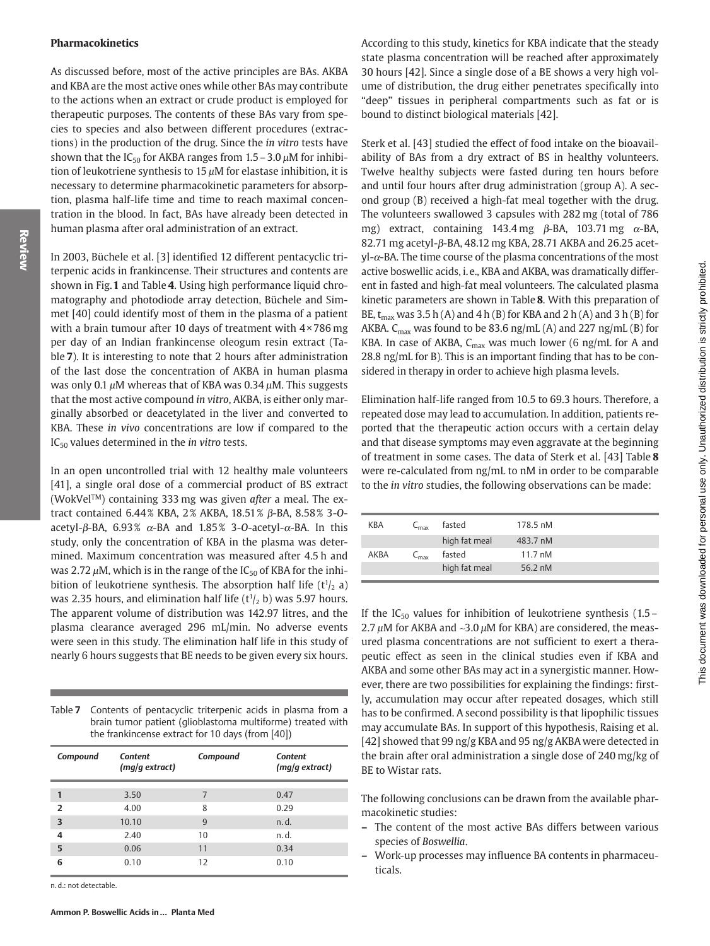#### Pharmacokinetics

As discussed before, most of the active principles are BAs. AKBA and KBA are the most active ones while other BAs may contribute to the actions when an extract or crude product is employed for therapeutic purposes. The contents of these BAs vary from species to species and also between different procedures (extractions) in the production of the drug. Since the in vitro tests have shown that the IC<sub>50</sub> for AKBA ranges from  $1.5 - 3.0 \mu$ M for inhibition of leukotriene synthesis to 15  $\mu$ M for elastase inhibition, it is necessary to determine pharmacokinetic parameters for absorption, plasma half-life time and time to reach maximal concentration in the blood. In fact, BAs have already been detected in human plasma after oral administration of an extract.

In 2003, Büchele et al. [3] identified 12 different pentacyclic triterpenic acids in frankincense. Their structures and contents are shown in Fig. 1 and Table 4. Using high performance liquid chromatography and photodiode array detection, Büchele and Simmet [40] could identify most of them in the plasma of a patient with a brain tumour after 10 days of treatment with 4 × 786 mg per day of an Indian frankincense oleogum resin extract (Table 7). It is interesting to note that 2 hours after administration of the last dose the concentration of AKBA in human plasma was only 0.1  $\mu$ M whereas that of KBA was 0.34  $\mu$ M. This suggests that the most active compound in vitro, AKBA, is either only marginally absorbed or deacetylated in the liver and converted to KBA. These in vivo concentrations are low if compared to the  $IC_{50}$  values determined in the *in vitro* tests.

In an open uncontrolled trial with 12 healthy male volunteers [41], a single oral dose of a commercial product of BS extract (WokVel<sup>TM</sup>) containing 333 mg was given after a meal. The extract contained 6.44% KBA, 2% AKBA, 18.51% β-BA, 8.58% 3-0acetyl- $\beta$ -BA, 6.93%  $\alpha$ -BA and 1.85% 3-O-acetyl- $\alpha$ -BA. In this study, only the concentration of KBA in the plasma was determined. Maximum concentration was measured after 4.5 h and was 2.72  $\mu$ M, which is in the range of the IC<sub>50</sub> of KBA for the inhibition of leukotriene synthesis. The absorption half life  $(t^{1/2})$  a) was 2.35 hours, and elimination half life  $(t^{1/2})$  b) was 5.97 hours. The apparent volume of distribution was 142.97 litres, and the plasma clearance averaged 296 mL/min. No adverse events were seen in this study. The elimination half life in this study of nearly 6 hours suggests that BE needs to be given every six hours.

Table 7 Contents of pentacyclic triterpenic acids in plasma from a brain tumor patient (glioblastoma multiforme) treated with the frankincense extract for 10 days (from [40])

| Compound       | <b>Content</b><br>(mq/q extract) | Compound | <b>Content</b><br>(mq/q extract) |
|----------------|----------------------------------|----------|----------------------------------|
| 1              | 3.50                             | 7        | 0.47                             |
| $\overline{2}$ | 4.00                             | 8        | 0.29                             |
| 3              | 10.10                            | 9        | n.d.                             |
| 4              | 2.40                             | 10       | n.d.                             |
| 5              | 0.06                             | 11       | 0.34                             |
| 6              | 0.10                             | 12       | 0.10                             |

n.d.: not detectable.

According to this study, kinetics for KBA indicate that the steady state plasma concentration will be reached after approximately 30 hours [42]. Since a single dose of a BE shows a very high volume of distribution, the drug either penetrates specifically into "deep" tissues in peripheral compartments such as fat or is bound to distinct biological materials [42].

Sterk et al. [43] studied the effect of food intake on the bioavailability of BAs from a dry extract of BS in healthy volunteers. Twelve healthy subjects were fasted during ten hours before and until four hours after drug administration (group A). A second group (B) received a high-fat meal together with the drug. The volunteers swallowed 3 capsules with 282 mg (total of 786 mg) extract, containing 143.4 mg  $\beta$ -BA, 103.71 mg  $\alpha$ -BA, 82.71 mg acetyl-β-BA, 48.12 mg KBA, 28.71 AKBA and 26.25 acet $yl$ - $\alpha$ -BA. The time course of the plasma concentrations of the most active boswellic acids, i.e., KBA and AKBA, was dramatically different in fasted and high-fat meal volunteers. The calculated plasma kinetic parameters are shown in Table 8. With this preparation of BE,  $t_{max}$  was 3.5 h (A) and 4 h (B) for KBA and 2 h (A) and 3 h (B) for AKBA.  $C_{\text{max}}$  was found to be 83.6 ng/mL (A) and 227 ng/mL (B) for KBA. In case of AKBA,  $C_{\text{max}}$  was much lower (6 ng/mL for A and 28.8 ng/mL for B). This is an important finding that has to be considered in therapy in order to achieve high plasma levels.

Elimination half-life ranged from 10.5 to 69.3 hours. Therefore, a repeated dose may lead to accumulation. In addition, patients reported that the therapeutic action occurs with a certain delay and that disease symptoms may even aggravate at the beginning of treatment in some cases. The data of Sterk et al. [43] Table 8 were re-calculated from ng/mL to nM in order to be comparable to the *in vitro* studies, the following observations can be made:

| KBA  | $C_{\rm max}$               | fasted        | 178.5 nM          |
|------|-----------------------------|---------------|-------------------|
|      |                             | high fat meal | 483.7 nM          |
| AKBA | $\mathsf{L}_{\mathsf{max}}$ | fasted        | $11.7 \text{ nM}$ |
|      |                             | high fat meal | 56.2 nM           |

If the IC<sub>50</sub> values for inhibition of leukotriene synthesis  $(1.5 -$ 2.7  $\mu$ M for AKBA and ~3.0  $\mu$ M for KBA) are considered, the measured plasma concentrations are not sufficient to exert a therapeutic effect as seen in the clinical studies even if KBA and AKBA and some other BAs may act in a synergistic manner. However, there are two possibilities for explaining the findings: firstly, accumulation may occur after repeated dosages, which still has to be confirmed. A second possibility is that lipophilic tissues may accumulate BAs. In support of this hypothesis, Raising et al. [42] showed that 99 ng/g KBA and 95 ng/g AKBA were detected in the brain after oral administration a single dose of 240 mg/kg of BE to Wistar rats.

The following conclusions can be drawn from the available pharmacokinetic studies:

- The content of the most active BAs differs between various species of Boswellia.
- $\overline{\phantom{0}}$ Work-up processes may influence BA contents in pharmaceuticals.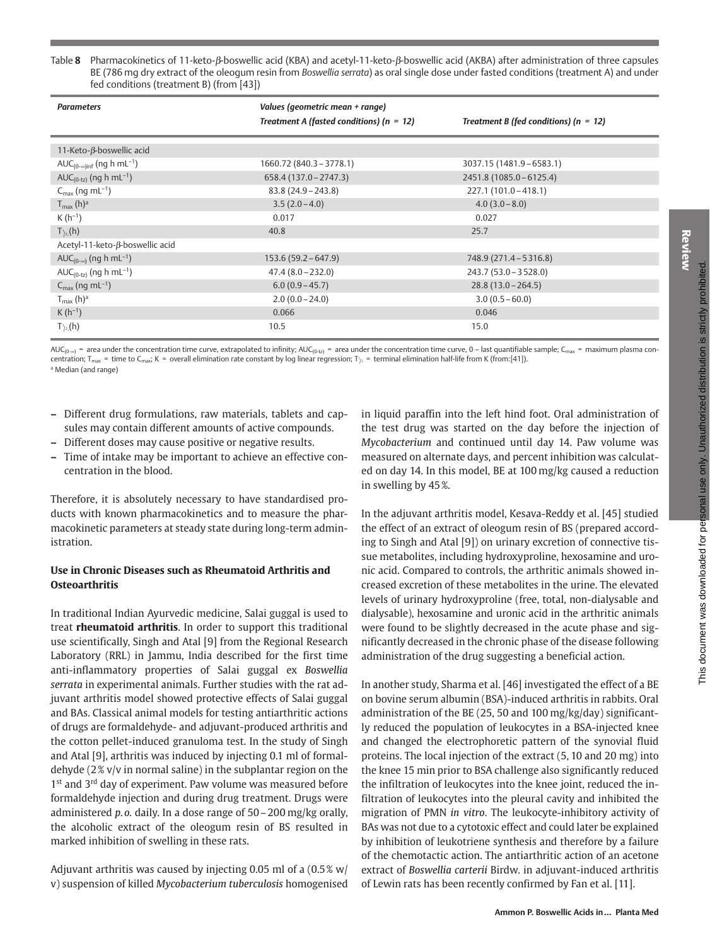| <b>Parameters</b>                                | Values (geometric mean + range)              |                                           |
|--------------------------------------------------|----------------------------------------------|-------------------------------------------|
|                                                  | Treatment A (fasted conditions) ( $n = 12$ ) | Treatment B (fed conditions) ( $n = 12$ ) |
| 11-Keto-β-boswellic acid                         |                                              |                                           |
| AUC <sub>(0-∞)inf</sub> (ng h mL <sup>-1</sup> ) | 1660.72 (840.3 - 3778.1)                     | 3037.15 (1481.9 - 6583.1)                 |
| $AUC_{(0-tz)}$ (ng h mL <sup>-1</sup> )          | $658.4(137.0 - 2747.3)$                      | 2451.8 (1085.0 - 6125.4)                  |
| $C_{\text{max}}$ (ng mL <sup>-1</sup> )          | $83.8(24.9 - 243.8)$                         | $227.1(101.0 - 418.1)$                    |
| $T_{\text{max}}$ (h) <sup>a</sup>                | $3.5(2.0-4.0)$                               | $4.0(3.0-8.0)$                            |
| $K(h^{-1})$                                      | 0.017                                        | 0.027                                     |
| $T_{1/2}^1(h)$                                   | 40.8                                         | 25.7                                      |
| Acetyl-11-keto-β-boswellic acid                  |                                              |                                           |
| $AUC_{(0-\infty)}$ (ng h mL <sup>-1</sup> )      | $153.6(59.2 - 647.9)$                        | 748.9 (271.4 – 5316.8)                    |
| $AUC_{(0-tz)}$ (ng h mL <sup>-1</sup> )          | $47.4(8.0-232.0)$                            | $243.7(53.0 - 3528.0)$                    |
| $C_{\text{max}}$ (ng mL <sup>-1</sup> )          | $6.0(0.9 - 45.7)$                            | $28.8(13.0-264.5)$                        |
| $T_{\text{max}}$ (h) <sup>a</sup>                | $2.0(0.0 - 24.0)$                            | $3.0(0.5 - 60.0)$                         |
| $K(h^{-1})$                                      | 0.066                                        | 0.046                                     |
| $T_{1/2}^{\mathsf{L}}(h)$                        | 10.5                                         | 15.0                                      |

 $AUC_{(0\sim o)}$  = area under the concentration time curve, extrapolated to infinity;  $AUC_{(0\cdot z)}$  = area under the concentration time curve, 0 - last quantifiable sample; C<sub>max</sub> = maximum plasma concentration;  $T_{max}$  = time to C<sub>max</sub>; K = overall elimination rate constant by log linear regression;  $T_{1i}$  = terminal elimination half-life from K (from:[41]). <sup>a</sup> Median (and range)

- Different drug formulations, raw materials, tablets and capsules may contain different amounts of active compounds.
- Different doses may cause positive or negative results.  $\overline{\phantom{0}}$
- Time of intake may be important to achieve an effective con- $\overline{\phantom{a}}$ centration in the blood.

Therefore, it is absolutely necessary to have standardised products with known pharmacokinetics and to measure the pharmacokinetic parameters at steady state during long-term administration

# Use in Chronic Diseases such as Rheumatoid Arthritis and **Osteoarthritis**

In traditional Indian Ayurvedic medicine, Salai guggal is used to treat rheumatoid arthritis. In order to support this traditional use scientifically, Singh and Atal [9] from the Regional Research Laboratory (RRL) in Jammu, India described for the first time anti-inflammatory properties of Salai guggal ex Boswellia serrata in experimental animals. Further studies with the rat adjuvant arthritis model showed protective effects of Salai guggal and BAs. Classical animal models for testing antiarthritic actions of drugs are formaldehyde- and adjuvant-produced arthritis and the cotton pellet-induced granuloma test. In the study of Singh and Atal [9], arthritis was induced by injecting 0.1 ml of formaldehyde  $(2\% v/v)$  in normal saline) in the subplantar region on the 1st and 3rd day of experiment. Paw volume was measured before formaldehyde injection and during drug treatment. Drugs were administered  $p.o.$  daily. In a dose range of  $50-200$  mg/kg orally, the alcoholic extract of the oleogum resin of BS resulted in marked inhibition of swelling in these rats.

Adjuvant arthritis was caused by injecting 0.05 ml of a (0.5% w/ v) suspension of killed Mycobacterium tuberculosis homogenised in liquid paraffin into the left hind foot. Oral administration of the test drug was started on the day before the injection of Mycobacterium and continued until day 14. Paw volume was measured on alternate days, and percent inhibition was calculated on day 14. In this model, BE at 100 mg/kg caused a reduction in swelling by 45%.

In the adjuvant arthritis model, Kesava-Reddy et al. [45] studied the effect of an extract of oleogum resin of BS (prepared according to Singh and Atal [9]) on urinary excretion of connective tissue metabolites, including hydroxyproline, hexosamine and uronic acid. Compared to controls, the arthritic animals showed increased excretion of these metabolites in the urine. The elevated levels of urinary hydroxyproline (free, total, non-dialysable and dialysable), hexosamine and uronic acid in the arthritic animals were found to be slightly decreased in the acute phase and significantly decreased in the chronic phase of the disease following administration of the drug suggesting a beneficial action.

In another study, Sharma et al. [46] investigated the effect of a BE on bovine serum albumin (BSA)-induced arthritis in rabbits. Oral administration of the BE (25, 50 and 100 mg/kg/day) significantly reduced the population of leukocytes in a BSA-injected knee and changed the electrophoretic pattern of the synovial fluid proteins. The local injection of the extract (5, 10 and 20 mg) into the knee 15 min prior to BSA challenge also significantly reduced the infiltration of leukocytes into the knee joint, reduced the infiltration of leukocytes into the pleural cavity and inhibited the migration of PMN in vitro. The leukocyte-inhibitory activity of BAs was not due to a cytotoxic effect and could later be explained by inhibition of leukotriene synthesis and therefore by a failure of the chemotactic action. The antiarthritic action of an acetone extract of Boswellia carterii Birdw. in adjuvant-induced arthritis of Lewin rats has been recently confirmed by Fan et al. [11].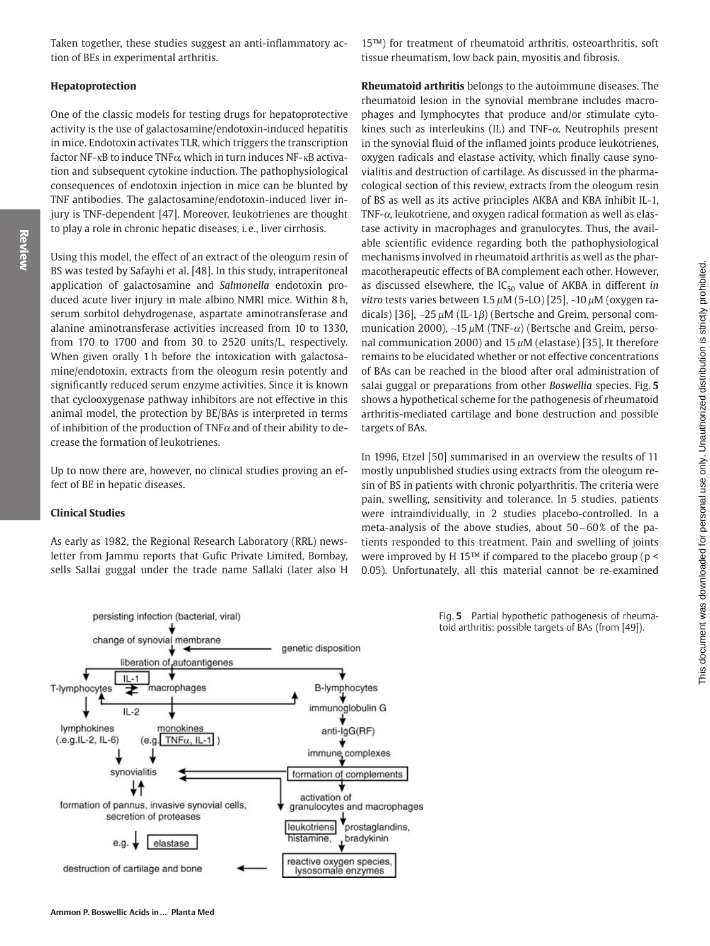Taken together, these studies suggest an anti-inflammatory action of BEs in experimental arthritis.

#### Hepatoprotection

Review

One of the classic models for testing drugs for hepatoprotective activity is the use of galactosamine/endotoxin-induced hepatitis in mice. Endotoxin activates TLR, which triggers the transcription factor NF- $\kappa$ B to induce TNF $\alpha$ , which in turn induces NF- $\kappa$ B activation and subsequent cytokine induction. The pathophysiological consequences of endotoxin injection in mice can be blunted by TNF antibodies. The galactosamine/endotoxin-induced liver injury is TNF-dependent [47]. Moreover, leukotrienes are thought to play a role in chronic hepatic diseases, i.e., liver cirrhosis.

Using this model, the effect of an extract of the oleogum resin of BS was tested by Safayhi et al. [48]. In this study, intraperitoneal application of galactosamine and Salmonella endotoxin produced acute liver injury in male albino NMRI mice. Within 8 h, serum sorbitol dehydrogenase, aspartate aminotransferase and alanine aminotransferase activities increased from 10 to 1330, from 170 to 1700 and from 30 to 2520 units/L, respectively. When given orally 1 h before the intoxication with galactosamine/endotoxin, extracts from the oleogum resin potently and significantly reduced serum enzyme activities. Since it is known that cyclooxygenase pathway inhibitors are not effective in this animal model, the protection by BE/BAs is interpreted in terms of inhibition of the production of  $TNF\alpha$  and of their ability to decrease the formation of leukotrienes.

Up to now there are, however, no clinical studies proving an effect of BE in hepatic diseases.

#### **Clinical Studies**

As early as 1982, the Regional Research Laboratory (RRL) newsletter from Jammu reports that Gufic Private Limited, Bombay, sells Sallai guggal under the trade name Sallaki (later also H

persisting infection (bacterial, viral)

15™) for treatment of rheumatoid arthritis, osteoarthritis, soft tissue rheumatism, low back pain, myositis and fibrosis.

Rheumatoid arthritis belongs to the autoimmune diseases. The rheumatoid lesion in the synovial membrane includes macrophages and lymphocytes that produce and/or stimulate cytokines such as interleukins (IL) and TNF- $\alpha$ . Neutrophils present in the synovial fluid of the inflamed joints produce leukotrienes, oxygen radicals and elastase activity, which finally cause synovialitis and destruction of cartilage. As discussed in the pharmacological section of this review, extracts from the oleogum resin of BS as well as its active principles AKBA and KBA inhibit IL-1, TNF- $\alpha$ , leukotriene, and oxygen radical formation as well as elastase activity in macrophages and granulocytes. Thus, the available scientific evidence regarding both the pathophysiological mechanisms involved in rheumatoid arthritis as well as the pharmacotherapeutic effects of BA complement each other. However, as discussed elsewhere, the  $IC_{50}$  value of AKBA in different in vitro tests varies between  $1.5 \mu$ M (5-LO) [25], ~10  $\mu$ M (oxygen radicals) [36], ~25  $\mu$ M (IL-1 $\beta$ ) (Bertsche and Greim, personal communication 2000), ~15  $\mu$ M (TNF- $\alpha$ ) (Bertsche and Greim, personal communication 2000) and 15  $\mu$ M (elastase) [35]. It therefore remains to be elucidated whether or not effective concentrations of BAs can be reached in the blood after oral administration of salai guggal or preparations from other Boswellia species. Fig. 5 shows a hypothetical scheme for the pathogenesis of rheumatoid arthritis-mediated cartilage and bone destruction and possible targets of BAs.

In 1996, Etzel [50] summarised in an overview the results of 11 mostly unpublished studies using extracts from the oleogum resin of BS in patients with chronic polyarthritis. The criteria were pain, swelling, sensitivity and tolerance. In 5 studies, patients were intraindividually, in 2 studies placebo-controlled. In a meta-analysis of the above studies, about 50-60% of the patients responded to this treatment. Pain and swelling of joints were improved by H 15 $m$  if compared to the placebo group ( $p \le$ 0.05). Unfortunately, all this material cannot be re-examined



Fig. 5 Partial hypothetic pathogenesis of rheumatoid arthritis: possible targets of BAs (from [49]).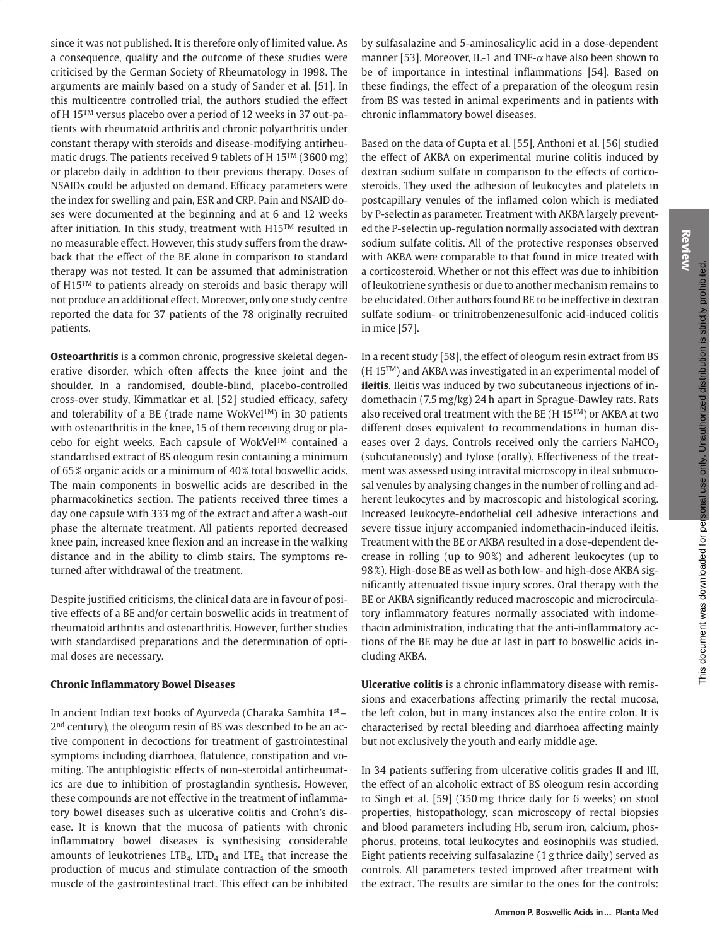Review

since it was not published. It is therefore only of limited value. As a consequence, quality and the outcome of these studies were criticised by the German Society of Rheumatology in 1998. The arguments are mainly based on a study of Sander et al. [51]. In this multicentre controlled trial, the authors studied the effect of H 15<sup>TM</sup> versus placebo over a period of 12 weeks in 37 out-patients with rheumatoid arthritis and chronic polyarthritis under constant therapy with steroids and disease-modifying antirheumatic drugs. The patients received 9 tablets of H 15<sup>TM</sup> (3600 mg) or placebo daily in addition to their previous therapy. Doses of NSAIDs could be adjusted on demand. Efficacy parameters were the index for swelling and pain, ESR and CRP. Pain and NSAID doses were documented at the beginning and at 6 and 12 weeks after initiation. In this study, treatment with H15™ resulted in no measurable effect. However, this study suffers from the drawback that the effect of the BE alone in comparison to standard therapy was not tested. It can be assumed that administration of H15™ to patients already on steroids and basic therapy will not produce an additional effect. Moreover, only one study centre reported the data for 37 patients of the 78 originally recruited patients.

Osteoarthritis is a common chronic, progressive skeletal degenerative disorder, which often affects the knee joint and the shoulder. In a randomised, double-blind, placebo-controlled cross-over study, Kimmatkar et al. [52] studied efficacy, safety and tolerability of a BE (trade name WokVel™) in 30 patients with osteoarthritis in the knee, 15 of them receiving drug or placebo for eight weeks. Each capsule of WokVel™ contained a standardised extract of BS oleogum resin containing a minimum of 65% organic acids or a minimum of 40% total boswellic acids. The main components in boswellic acids are described in the pharmacokinetics section. The patients received three times a day one capsule with 333 mg of the extract and after a wash-out phase the alternate treatment. All patients reported decreased knee pain, increased knee flexion and an increase in the walking distance and in the ability to climb stairs. The symptoms returned after withdrawal of the treatment.

Despite justified criticisms, the clinical data are in favour of positive effects of a BE and/or certain boswellic acids in treatment of rheumatoid arthritis and osteoarthritis. However, further studies with standardised preparations and the determination of optimal doses are necessary.

# **Chronic Inflammatory Bowel Diseases**

In ancient Indian text books of Ayurveda (Charaka Samhita 1st -2<sup>nd</sup> century), the oleogum resin of BS was described to be an active component in decoctions for treatment of gastrointestinal symptoms including diarrhoea, flatulence, constipation and vomiting. The antiphlogistic effects of non-steroidal antirheumatics are due to inhibition of prostaglandin synthesis. However, these compounds are not effective in the treatment of inflammatory bowel diseases such as ulcerative colitis and Crohn's disease. It is known that the mucosa of patients with chronic inflammatory bowel diseases is synthesising considerable amounts of leukotrienes  $LTB<sub>4</sub>$ ,  $LTD<sub>4</sub>$  and  $LTE<sub>4</sub>$  that increase the production of mucus and stimulate contraction of the smooth muscle of the gastrointestinal tract. This effect can be inhibited

by sulfasalazine and 5-aminosalicylic acid in a dose-dependent manner [53]. Moreover, IL-1 and TNF- $\alpha$  have also been shown to be of importance in intestinal inflammations [54]. Based on these findings, the effect of a preparation of the oleogum resin from BS was tested in animal experiments and in patients with chronic inflammatory bowel diseases.

Based on the data of Gupta et al. [55], Anthoni et al. [56] studied the effect of AKBA on experimental murine colitis induced by dextran sodium sulfate in comparison to the effects of corticosteroids. They used the adhesion of leukocytes and platelets in postcapillary venules of the inflamed colon which is mediated by P-selectin as parameter. Treatment with AKBA largely prevented the P-selectin up-regulation normally associated with dextran sodium sulfate colitis. All of the protective responses observed with AKBA were comparable to that found in mice treated with a corticosteroid. Whether or not this effect was due to inhibition of leukotriene synthesis or due to another mechanism remains to be elucidated. Other authors found BE to be ineffective in dextran sulfate sodium- or trinitrobenzenesulfonic acid-induced colitis in mice [57].

In a recent study [58], the effect of oleogum resin extract from BS  $(H 15<sup>TM</sup>)$  and AKBA was investigated in an experimental model of ileitis. Ileitis was induced by two subcutaneous injections of indomethacin (7.5 mg/kg) 24 h apart in Sprague-Dawley rats. Rats also received oral treatment with the BE (H 15™) or AKBA at two different doses equivalent to recommendations in human diseases over 2 days. Controls received only the carriers NaHCO<sub>3</sub> (subcutaneously) and tylose (orally). Effectiveness of the treatment was assessed using intravital microscopy in ileal submucosal venules by analysing changes in the number of rolling and adherent leukocytes and by macroscopic and histological scoring. Increased leukocyte-endothelial cell adhesive interactions and severe tissue injury accompanied indomethacin-induced ileitis. Treatment with the BE or AKBA resulted in a dose-dependent decrease in rolling (up to 90%) and adherent leukocytes (up to 98%). High-dose BE as well as both low- and high-dose AKBA significantly attenuated tissue injury scores. Oral therapy with the BE or AKBA significantly reduced macroscopic and microcirculatory inflammatory features normally associated with indomethacin administration, indicating that the anti-inflammatory actions of the BE may be due at last in part to boswellic acids including AKBA.

Ulcerative colitis is a chronic inflammatory disease with remissions and exacerbations affecting primarily the rectal mucosa, the left colon, but in many instances also the entire colon. It is characterised by rectal bleeding and diarrhoea affecting mainly but not exclusively the youth and early middle age.

In 34 patients suffering from ulcerative colitis grades II and III, the effect of an alcoholic extract of BS oleogum resin according to Singh et al. [59] (350 mg thrice daily for 6 weeks) on stool properties, histopathology, scan microscopy of rectal biopsies and blood parameters including Hb, serum iron, calcium, phosphorus, proteins, total leukocytes and eosinophils was studied. Eight patients receiving sulfasalazine (1 g thrice daily) served as controls. All parameters tested improved after treatment with the extract. The results are similar to the ones for the controls: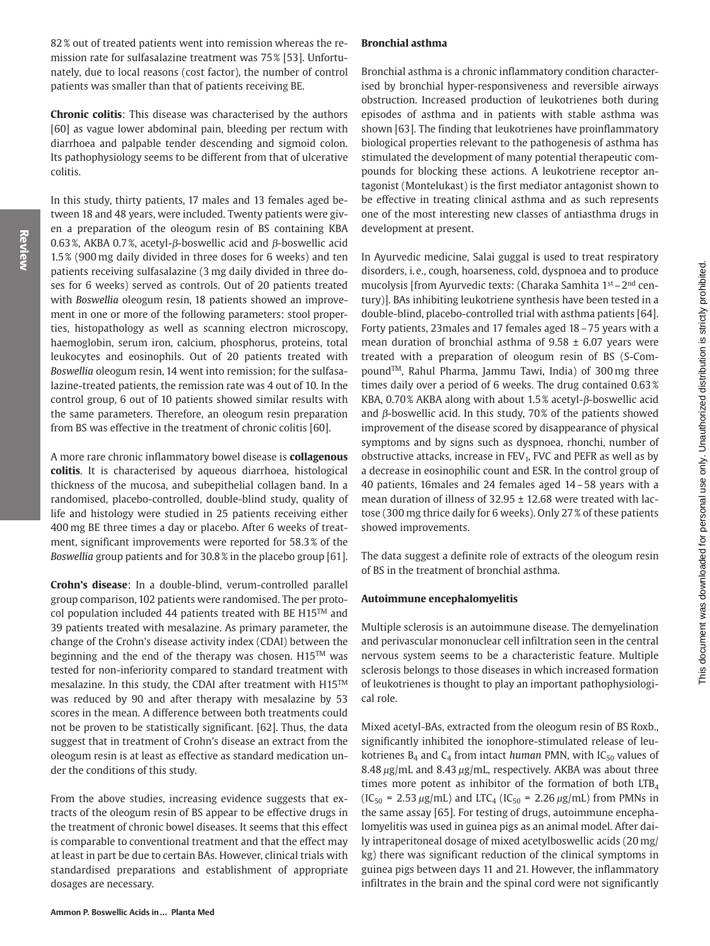82% out of treated patients went into remission whereas the remission rate for sulfasalazine treatment was 75% [53]. Unfortunately, due to local reasons (cost factor), the number of control patients was smaller than that of patients receiving BE.

**Chronic colitis:** This disease was characterised by the authors [60] as vague lower abdominal pain, bleeding per rectum with diarrhoea and palpable tender descending and sigmoid colon. Its pathophysiology seems to be different from that of ulcerative colitis.

In this study, thirty patients, 17 males and 13 females aged between 18 and 48 years, were included. Twenty patients were given a preparation of the oleogum resin of BS containing KBA 0.63%, AKBA 0.7%, acetyl- $\beta$ -boswellic acid and  $\beta$ -boswellic acid 1.5% (900 mg daily divided in three doses for 6 weeks) and ten patients receiving sulfasalazine (3 mg daily divided in three doses for 6 weeks) served as controls. Out of 20 patients treated with Boswellia oleogum resin, 18 patients showed an improvement in one or more of the following parameters: stool properties, histopathology as well as scanning electron microscopy, haemoglobin, serum iron, calcium, phosphorus, proteins, total leukocytes and eosinophils. Out of 20 patients treated with Boswellia oleogum resin, 14 went into remission; for the sulfasalazine-treated patients, the remission rate was 4 out of 10. In the control group, 6 out of 10 patients showed similar results with the same parameters. Therefore, an oleogum resin preparation from BS was effective in the treatment of chronic colitis [60].

A more rare chronic inflammatory bowel disease is collagenous colitis. It is characterised by aqueous diarrhoea, histological thickness of the mucosa, and subepithelial collagen band. In a randomised, placebo-controlled, double-blind study, quality of life and histology were studied in 25 patients receiving either 400 mg BE three times a day or placebo. After 6 weeks of treatment, significant improvements were reported for 58.3% of the Boswellia group patients and for 30.8% in the placebo group [61].

Crohn's disease: In a double-blind, verum-controlled parallel group comparison, 102 patients were randomised. The per protocol population included 44 patients treated with BE H15™ and 39 patients treated with mesalazine. As primary parameter, the change of the Crohn's disease activity index (CDAI) between the beginning and the end of the therapy was chosen. H15™ was tested for non-inferiority compared to standard treatment with mesalazine. In this study, the CDAI after treatment with H15™ was reduced by 90 and after therapy with mesalazine by 53 scores in the mean. A difference between both treatments could not be proven to be statistically significant. [62]. Thus, the data suggest that in treatment of Crohn's disease an extract from the oleogum resin is at least as effective as standard medication under the conditions of this study.

From the above studies, increasing evidence suggests that extracts of the oleogum resin of BS appear to be effective drugs in the treatment of chronic bowel diseases. It seems that this effect is comparable to conventional treatment and that the effect may at least in part be due to certain BAs. However, clinical trials with standardised preparations and establishment of appropriate dosages are necessary.

### **Bronchial asthma**

Bronchial asthma is a chronic inflammatory condition characterised by bronchial hyper-responsiveness and reversible airways obstruction. Increased production of leukotrienes both during episodes of asthma and in patients with stable asthma was shown [63]. The finding that leukotrienes have proinflammatory biological properties relevant to the pathogenesis of asthma has stimulated the development of many potential therapeutic compounds for blocking these actions. A leukotriene receptor antagonist (Montelukast) is the first mediator antagonist shown to be effective in treating clinical asthma and as such represents one of the most interesting new classes of antiasthma drugs in development at present.

In Ayurvedic medicine, Salai guggal is used to treat respiratory disorders, i.e., cough, hoarseness, cold, dyspnoea and to produce mucolysis [from Ayurvedic texts: (Charaka Samhita 1<sup>st</sup> – 2<sup>nd</sup> century)]. BAs inhibiting leukotriene synthesis have been tested in a double-blind, placebo-controlled trial with asthma patients [64]. Forty patients, 23males and 17 females aged 18 - 75 years with a mean duration of bronchial asthma of  $9.58 \pm 6.07$  years were treated with a preparation of oleogum resin of BS (S-Compound™, Rahul Pharma, Jammu Tawi, India) of 300 mg three times daily over a period of 6 weeks. The drug contained 0.63% KBA, 0.70% AKBA along with about  $1.5\%$  acetyl- $\beta$ -boswellic acid and  $\beta$ -boswellic acid. In this study, 70% of the patients showed improvement of the disease scored by disappearance of physical symptoms and by signs such as dyspnoea, rhonchi, number of obstructive attacks, increase in  $FEV<sub>1</sub>$ , FVC and PEFR as well as by a decrease in eosinophilic count and ESR. In the control group of 40 patients, 16 males and 24 females aged 14 – 58 years with a mean duration of illness of 32.95 ± 12.68 were treated with lactose (300 mg thrice daily for 6 weeks). Only 27% of these patients showed improvements.

The data suggest a definite role of extracts of the oleogum resin of BS in the treatment of bronchial asthma.

## Autoimmune encephalomyelitis

Multiple sclerosis is an autoimmune disease. The demyelination and perivascular mononuclear cell infiltration seen in the central nervous system seems to be a characteristic feature. Multiple sclerosis belongs to those diseases in which increased formation of leukotrienes is thought to play an important pathophysiological role.

Mixed acetyl-BAs, extracted from the oleogum resin of BS Roxb., significantly inhibited the ionophore-stimulated release of leukotrienes  $B_4$  and  $C_4$  from intact human PMN, with  $IC_{50}$  values of 8.48 µg/mL and 8.43 µg/mL, respectively. AKBA was about three times more potent as inhibitor of the formation of both  $LTB<sub>4</sub>$  $(IC_{50} = 2.53 \,\mu g/mL)$  and  $LTC_4 (IC_{50} = 2.26 \,\mu g/mL)$  from PMNs in the same assay [65]. For testing of drugs, autoimmune encephalomyelitis was used in guinea pigs as an animal model. After daily intraperitoneal dosage of mixed acetylboswellic acids (20 mg/ kg) there was significant reduction of the clinical symptoms in guinea pigs between days 11 and 21. However, the inflammatory infiltrates in the brain and the spinal cord were not significantly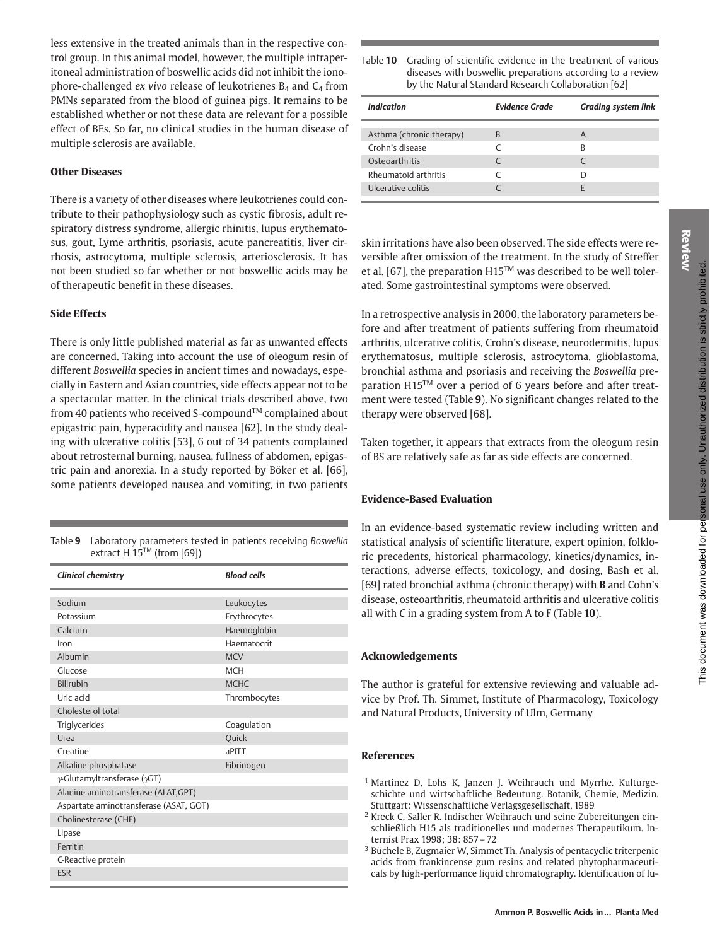less extensive in the treated animals than in the respective control group. In this animal model, however, the multiple intraperitoneal administration of boswellic acids did not inhibit the ionophore-challenged ex vivo release of leukotrienes  $B_4$  and  $C_4$  from PMNs separated from the blood of guinea pigs. It remains to be established whether or not these data are relevant for a possible effect of BEs. So far, no clinical studies in the human disease of multiple sclerosis are available.

### **Other Diseases**

There is a variety of other diseases where leukotrienes could contribute to their pathophysiology such as cystic fibrosis, adult respiratory distress syndrome, allergic rhinitis, lupus erythematosus, gout, Lyme arthritis, psoriasis, acute pancreatitis, liver cirrhosis, astrocytoma, multiple sclerosis, arteriosclerosis. It has not been studied so far whether or not boswellic acids may be of therapeutic benefit in these diseases.

#### **Side Effects**

There is only little published material as far as unwanted effects are concerned. Taking into account the use of oleogum resin of different Boswellia species in ancient times and nowadays, especially in Eastern and Asian countries, side effects appear not to be a spectacular matter. In the clinical trials described above, two from 40 patients who received S-compound™ complained about epigastric pain, hyperacidity and nausea [62]. In the study dealing with ulcerative colitis [53], 6 out of 34 patients complained about retrosternal burning, nausea, fullness of abdomen, epigastric pain and anorexia. In a study reported by Böker et al. [66], some patients developed nausea and vomiting, in two patients

Table 9 Laboratory parameters tested in patients receiving Boswellia extract H 15™ (from [69])

| Clinical chemistry                     | <b>Blood cells</b> |  |
|----------------------------------------|--------------------|--|
| Sodium                                 | Leukocytes         |  |
| Potassium                              | Erythrocytes       |  |
| Calcium                                | Haemoglobin        |  |
| Iron                                   | Haematocrit        |  |
| Albumin                                | <b>MCV</b>         |  |
| Glucose                                | <b>MCH</b>         |  |
| <b>Bilirubin</b>                       | <b>MCHC</b>        |  |
| Uric acid                              | Thrombocytes       |  |
| Cholesterol total                      |                    |  |
| Triglycerides                          | Coagulation        |  |
| Urea                                   | <b>Quick</b>       |  |
| Creatine                               | aPITT              |  |
| Alkaline phosphatase                   | Fibrinogen         |  |
| γ-Glutamyltransferase (γGT)            |                    |  |
| Alanine aminotransferase (ALAT, GPT)   |                    |  |
| Aspartate aminotransferase (ASAT, GOT) |                    |  |
| Cholinesterase (CHE)                   |                    |  |
| Lipase                                 |                    |  |
| Ferritin                               |                    |  |
| C-Reactive protein                     |                    |  |
| <b>ESR</b>                             |                    |  |

| able 10 Grading of scientific evidence in the treatment of various |  |
|--------------------------------------------------------------------|--|
| diseases with boswellic preparations according to a review         |  |
| by the Natural Standard Research Collaboration [62]                |  |

| Indication               | <b>Evidence Grade</b> | <b>Grading system link</b> |
|--------------------------|-----------------------|----------------------------|
| Asthma (chronic therapy) | B                     | A                          |
| Crohn's disease          |                       | R                          |
| Osteoarthritis           |                       |                            |
| Rheumatoid arthritis     |                       |                            |
| Ulcerative colitis       |                       |                            |

skin irritations have also been observed. The side effects were reversible after omission of the treatment. In the study of Streffer et al. [67], the preparation H15<sup>TM</sup> was described to be well tolerated. Some gastrointestinal symptoms were observed.

In a retrospective analysis in 2000, the laboratory parameters before and after treatment of patients suffering from rheumatoid arthritis, ulcerative colitis, Crohn's disease, neurodermitis, lupus erythematosus, multiple sclerosis, astrocytoma, glioblastoma, bronchial asthma and psoriasis and receiving the Boswellia preparation H15™ over a period of 6 years before and after treatment were tested (Table 9). No significant changes related to the therapy were observed [68].

Taken together, it appears that extracts from the oleogum resin of BS are relatively safe as far as side effects are concerned.

# **Evidence-Based Evaluation**

In an evidence-based systematic review including written and statistical analysis of scientific literature, expert opinion, folkloric precedents, historical pharmacology, kinetics/dynamics, interactions, adverse effects, toxicology, and dosing, Bash et al. [69] rated bronchial asthma (chronic therapy) with **B** and Cohn's disease, osteoarthritis, rheumatoid arthritis and ulcerative colitis all with  $C$  in a grading system from  $A$  to  $F$  (Table 10).

#### **Acknowledgements**

The author is grateful for extensive reviewing and valuable advice by Prof. Th. Simmet, Institute of Pharmacology, Toxicology and Natural Products, University of Ulm, Germany

#### **References**

- <sup>1</sup> Martinez D, Lohs K, Janzen J. Weihrauch und Myrrhe. Kulturgeschichte und wirtschaftliche Bedeutung. Botanik, Chemie, Medizin. Stuttgart: Wissenschaftliche Verlagsgesellschaft, 1989
- <sup>2</sup> Kreck C, Saller R. Indischer Weihrauch und seine Zubereitungen einschließlich H15 als traditionelles und modernes Therapeutikum. Internist Prax 1998; 38: 857-72
- <sup>3</sup> Büchele B, Zugmaier W, Simmet Th. Analysis of pentacyclic triterpenic acids from frankincense gum resins and related phytopharmaceuticals by high-performance liquid chromatography. Identification of lu-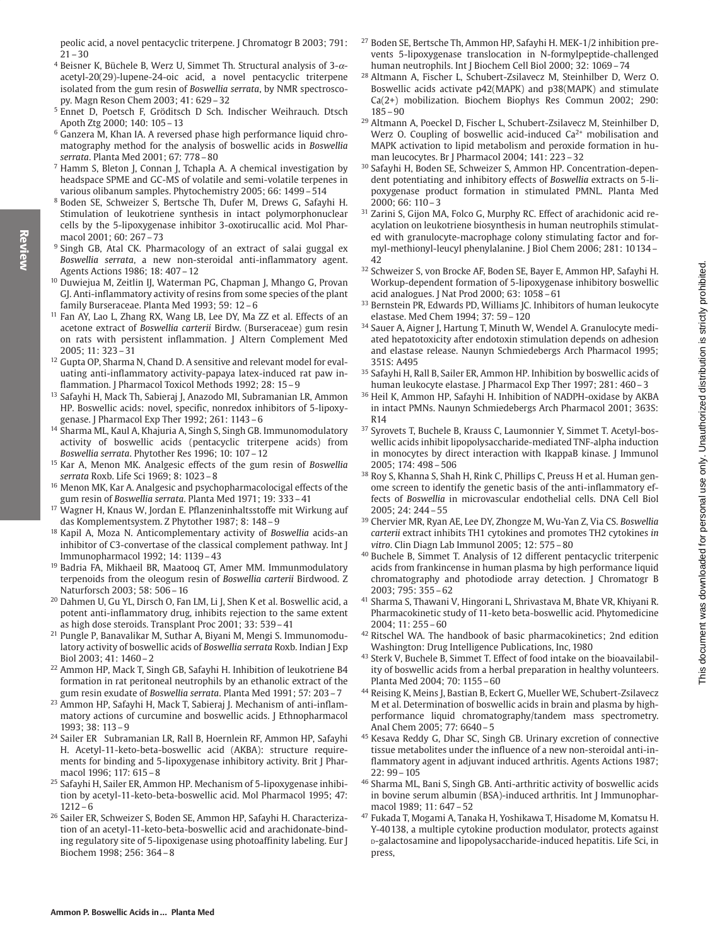- <sup>4</sup> Beisner K, Büchele B, Werz U, Simmet Th. Structural analysis of  $3-\alpha$ acetyl-20(29)-lupene-24-oic acid, a novel pentacyclic triterpene isolated from the gum resin of Boswellia serrata, by NMR spectroscopy. Magn Reson Chem 2003; 41: 629-32
- <sup>5</sup> Ennet D, Poetsch F, Gröditsch D Sch. Indischer Weihrauch. Dtsch Apoth Ztg 2000: 140: 105-13
- <sup>6</sup> Ganzera M, Khan IA. A reversed phase high performance liquid chromatography method for the analysis of boswellic acids in Boswellia serrata. Planta Med 2001; 67: 778-80
- <sup>7</sup> Hamm S, Bleton J, Connan J, Tchapla A. A chemical investigation by headspace SPME and GC-MS of volatile and semi-volatile terpenes in various olibanum samples. Phytochemistry 2005; 66: 1499-514
- <sup>8</sup> Boden SE, Schweizer S, Bertsche Th, Dufer M, Drews G, Safayhi H. Stimulation of leukotriene synthesis in intact polymorphonuclear cells by the 5-lipoxygenase inhibitor 3-oxotirucallic acid. Mol Pharmacol 2001: 60: 267-73
- <sup>9</sup> Singh GB, Atal CK. Pharmacology of an extract of salai guggal ex Boswellia serrata, a new non-steroidal anti-inflammatory agent. Agents Actions 1986; 18: 407 - 12
- <sup>10</sup> Duwiejua M, Zeitlin IJ, Waterman PG, Chapman J, Mhango G, Provan GJ. Anti-inflammatory activity of resins from some species of the plant family Burseraceae. Planta Med 1993; 59: 12-6
- <sup>11</sup> Fan AY, Lao L, Zhang RX, Wang LB, Lee DY, Ma ZZ et al. Effects of an acetone extract of Boswellia carterii Birdw. (Burseraceae) gum resin on rats with persistent inflammation. J Altern Complement Med  $2005: 11: 323 - 31$
- <sup>12</sup> Gupta OP, Sharma N, Chand D. A sensitive and relevant model for evaluating anti-inflammatory activity-papaya latex-induced rat paw inflammation. J Pharmacol Toxicol Methods 1992; 28: 15-9
- <sup>13</sup> Safayhi H, Mack Th, Sabieraj J, Anazodo MI, Subramanian LR, Ammon HP. Boswellic acids: novel, specific, nonredox inhibitors of 5-lipoxygenase. J Pharmacol Exp Ther 1992; 261: 1143-6
- <sup>14</sup> Sharma ML, Kaul A, Khajuria A, Singh S, Singh GB. Immunomodulatory activity of boswellic acids (pentacyclic triterpene acids) from Boswellia serrata. Phytother Res 1996; 10: 107-12
- <sup>15</sup> Kar A, Menon MK. Analgesic effects of the gum resin of Boswellia serrata Roxb. Life Sci 1969; 8: 1023-8
- <sup>16</sup> Menon MK, Kar A. Analgesic and psychopharmacolocigal effects of the gum resin of Boswellia serrata. Planta Med 1971; 19: 333-41
- <sup>17</sup> Wagner H, Knaus W, Jordan E. Pflanzeninhaltsstoffe mit Wirkung auf das Komplementsystem. Z Phytother 1987; 8: 148-9
- <sup>18</sup> Kapil A, Moza N. Anticomplementary activity of Boswellia acids-an inhibitor of C3-convertase of the classical complement pathway. Int J Immunopharmacol 1992; 14: 1139-43
- <sup>19</sup> Badria FA, Mikhaeil BR, Maatooq GT, Amer MM. Immunmodulatory terpenoids from the oleogum resin of Boswellia carterii Birdwood. Z Naturforsch 2003; 58: 506-16
- <sup>20</sup> Dahmen U, Gu YL, Dirsch O, Fan LM, Li J, Shen K et al. Boswellic acid, a potent anti-inflammatory drug, inhibits rejection to the same extent as high dose steroids. Transplant Proc 2001; 33: 539-41
- <sup>21</sup> Pungle P, Banavalikar M, Suthar A, Biyani M, Mengi S. Immunomodulatory activity of boswellic acids of Boswellia serrata Roxb. Indian J Exp Biol 2003; 41: 1460-2
- <sup>22</sup> Ammon HP, Mack T, Singh GB, Safayhi H. Inhibition of leukotriene B4 formation in rat peritoneal neutrophils by an ethanolic extract of the gum resin exudate of Boswellia serrata. Planta Med 1991; 57: 203-7
- <sup>23</sup> Ammon HP, Safayhi H, Mack T, Sabieraj J. Mechanism of anti-inflammatory actions of curcumine and boswellic acids. J Ethnopharmacol 1993; 38: 113-9
- <sup>24</sup> Sailer ER Subramanian LR, Rall B, Hoernlein RF, Ammon HP, Safayhi H. Acetyl-11-keto-beta-boswellic acid (AKBA): structure requirements for binding and 5-lipoxygenase inhibitory activity. Brit J Pharmacol 1996: 117: 615-8
- <sup>25</sup> Safayhi H, Sailer ER, Ammon HP. Mechanism of 5-lipoxygenase inhibition by acetyl-11-keto-beta-boswellic acid. Mol Pharmacol 1995; 47:  $1212 - 6$
- <sup>26</sup> Sailer ER, Schweizer S, Boden SE, Ammon HP, Safayhi H. Characterization of an acetyl-11-keto-beta-boswellic acid and arachidonate-binding regulatory site of 5-lipoxigenase using photoaffinity labeling. Eur J Biochem 1998; 256: 364-8
- <sup>27</sup> Boden SE, Bertsche Th, Ammon HP, Safayhi H. MEK-1/2 inhibition prevents 5-lipoxygenase translocation in N-formylpeptide-challenged human neutrophils. Int J Biochem Cell Biol 2000; 32: 1069-74
- <sup>28</sup> Altmann A, Fischer L, Schubert-Zsilavecz M, Steinhilber D, Werz O. Boswellic acids activate p42(MAPK) and p38(MAPK) and stimulate Ca(2+) mobilization. Biochem Biophys Res Commun 2002; 290:  $185 - 90$
- <sup>29</sup> Altmann A, Poeckel D, Fischer L, Schubert-Zsilavecz M, Steinhilber D, Werz O. Coupling of boswellic acid-induced  $Ca<sup>2+</sup>$  mobilisation and MAPK activation to lipid metabolism and peroxide formation in human leucocytes. Br J Pharmacol 2004; 141: 223-32
- <sup>30</sup> Safayhi H, Boden SE, Schweizer S, Ammon HP. Concentration-dependent potentiating and inhibitory effects of Boswellia extracts on 5-lipoxygenase product formation in stimulated PMNL. Planta Med  $2000:66:110-3$
- <sup>31</sup> Zarini S, Gijon MA, Folco G, Murphy RC. Effect of arachidonic acid reacylation on leukotriene biosynthesis in human neutrophils stimulated with granulocyte-macrophage colony stimulating factor and formyl-methionyl-leucyl phenylalanine. J Biol Chem 2006; 281: 10134- $\overline{42}$
- <sup>32</sup> Schweizer S, von Brocke AF, Boden SE, Bayer E, Ammon HP, Safayhi H. Workup-dependent formation of 5-lipoxygenase inhibitory boswellic acid analogues. J Nat Prod 2000; 63: 1058-61
- 33 Bernstein PR, Edwards PD, Williams JC. Inhibitors of human leukocyte elastase. Med Chem 1994; 37: 59 - 120
- <sup>34</sup> Sauer A, Aigner J, Hartung T, Minuth W, Wendel A. Granulocyte mediated hepatotoxicity after endotoxin stimulation depends on adhesion and elastase release. Naunyn Schmiedebergs Arch Pharmacol 1995; 351S: A495
- <sup>35</sup> Safayhi H, Rall B, Sailer ER, Ammon HP. Inhibition by boswellic acids of human leukocyte elastase. J Pharmacol Exp Ther 1997; 281: 460-3
- <sup>36</sup> Heil K, Ammon HP, Safayhi H. Inhibition of NADPH-oxidase by AKBA in intact PMNs. Naunyn Schmiedebergs Arch Pharmacol 2001; 363S: R<sub>14</sub>
- <sup>37</sup> Syrovets T, Buchele B, Krauss C, Laumonnier Y, Simmet T. Acetyl-boswellic acids inhibit lipopolysaccharide-mediated TNF-alpha induction in monocytes by direct interaction with IkappaB kinase. J Immunol 2005; 174: 498 - 506
- <sup>38</sup> Roy S, Khanna S, Shah H, Rink C, Phillips C, Preuss H et al. Human genome screen to identify the genetic basis of the anti-inflammatory effects of Boswellia in microvascular endothelial cells. DNA Cell Biol 2005; 24: 244 - 55
- <sup>39</sup> Chervier MR, Ryan AE, Lee DY, Zhongze M, Wu-Yan Z, Via CS. Boswellia carterii extract inhibits TH1 cytokines and promotes TH2 cytokines in vitro. Clin Diagn Lab Immunol 2005; 12: 575-80
- <sup>40</sup> Buchele B, Simmet T. Analysis of 12 different pentacyclic triterpenic acids from frankincense in human plasma by high performance liquid chromatography and photodiode array detection. J Chromatogr B  $2003:795:355-62$
- <sup>41</sup> Sharma S, Thawani V, Hingorani L, Shrivastava M, Bhate VR, Khiyani R. Pharmacokinetic study of 11-keto beta-boswellic acid. Phytomedicine  $2004:11:255-60$
- <sup>42</sup> Ritschel WA. The handbook of basic pharmacokinetics; 2nd edition Washington: Drug Intelligence Publications, Inc. 1980
- <sup>43</sup> Sterk V, Buchele B, Simmet T. Effect of food intake on the bioavailability of boswellic acids from a herbal preparation in healthy volunteers. Planta Med 2004; 70: 1155-60
- <sup>44</sup> Reising K, Meins J, Bastian B, Eckert G, Mueller WE, Schubert-Zsilavecz M et al. Determination of boswellic acids in brain and plasma by highperformance liquid chromatography/tandem mass spectrometry. Anal Chem 2005; 77: 6640-5
- <sup>45</sup> Kesava Reddy G, Dhar SC, Singh GB. Urinary excretion of connective tissue metabolites under the influence of a new non-steroidal anti-inflammatory agent in adjuvant induced arthritis. Agents Actions 1987;  $22:99 - 105$
- <sup>46</sup> Sharma ML, Bani S, Singh GB. Anti-arthritic activity of boswellic acids in bovine serum albumin (BSA)-induced arthritis. Int J Immunopharmacol 1989; 11: 647-52
- <sup>47</sup> Fukada T, Mogami A, Tanaka H, Yoshikawa T, Hisadome M, Komatsu H. Y-40138, a multiple cytokine production modulator, protects against D-galactosamine and lipopolysaccharide-induced hepatitis. Life Sci, in press,